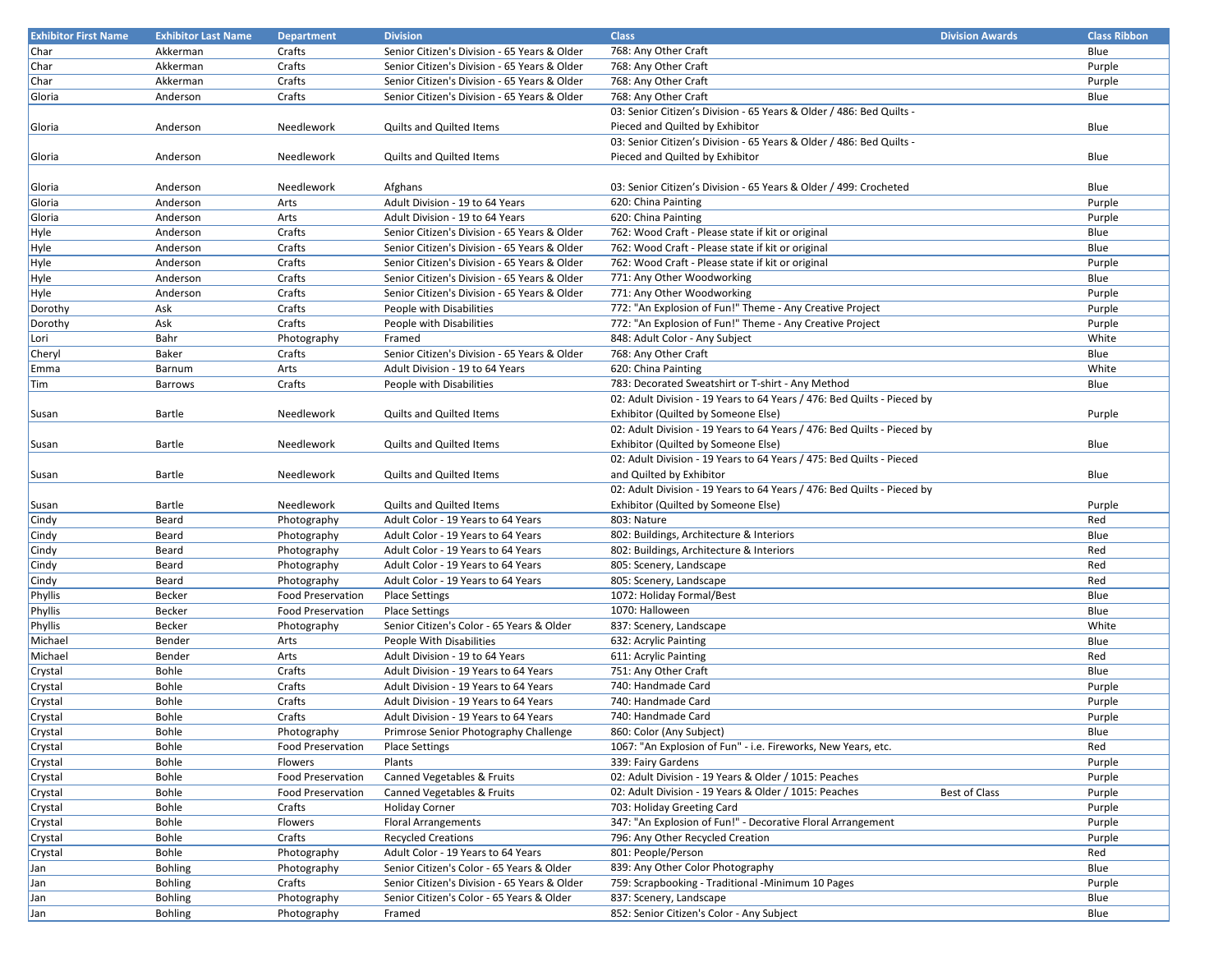| <b>Exhibitor First Name</b> | <b>Exhibitor Last Name</b> | <b>Department</b>        | <b>Division</b>                                | <b>Class</b>                                                            | <b>Division Awards</b> | <b>Class Ribbon</b> |
|-----------------------------|----------------------------|--------------------------|------------------------------------------------|-------------------------------------------------------------------------|------------------------|---------------------|
| Char                        | Akkerman                   | Crafts                   | Senior Citizen's Division - 65 Years & Older   | 768: Any Other Craft                                                    |                        | Blue                |
| Char                        | Akkerman                   | Crafts                   | Senior Citizen's Division - 65 Years & Older   | 768: Any Other Craft                                                    |                        | Purple              |
| Char                        | Akkerman                   | Crafts                   | Senior Citizen's Division - 65 Years & Older   | 768: Any Other Craft                                                    |                        | Purple              |
| Gloria                      | Anderson                   | Crafts                   | Senior Citizen's Division - 65 Years & Older   | 768: Any Other Craft                                                    |                        | Blue                |
|                             |                            |                          |                                                | 03: Senior Citizen's Division - 65 Years & Older / 486: Bed Quilts -    |                        |                     |
| Gloria                      | Anderson                   | Needlework               | Quilts and Quilted Items                       | Pieced and Quilted by Exhibitor                                         |                        | Blue                |
|                             |                            |                          |                                                | 03: Senior Citizen's Division - 65 Years & Older / 486: Bed Quilts -    |                        |                     |
| Gloria                      | Anderson                   | Needlework               | <b>Quilts and Quilted Items</b>                | Pieced and Quilted by Exhibitor                                         |                        | Blue                |
|                             |                            |                          |                                                |                                                                         |                        |                     |
|                             | Anderson                   | Needlework               |                                                | 03: Senior Citizen's Division - 65 Years & Older / 499: Crocheted       |                        | Blue                |
| Gloria                      |                            |                          | Afghans                                        |                                                                         |                        |                     |
| Gloria                      | Anderson                   | Arts                     | Adult Division - 19 to 64 Years                | 620: China Painting                                                     |                        | Purple              |
| Gloria                      | Anderson                   | Arts                     | Adult Division - 19 to 64 Years                | 620: China Painting                                                     |                        | Purple              |
| Hyle                        | Anderson                   | Crafts                   | Senior Citizen's Division - 65 Years & Older   | 762: Wood Craft - Please state if kit or original                       |                        | Blue                |
| Hyle                        | Anderson                   | Crafts                   | Senior Citizen's Division - 65 Years & Older   | 762: Wood Craft - Please state if kit or original                       |                        | Blue                |
| Hyle                        | Anderson                   | Crafts                   | Senior Citizen's Division - 65 Years & Older   | 762: Wood Craft - Please state if kit or original                       |                        | Purple              |
| Hyle                        | Anderson                   | Crafts                   | Senior Citizen's Division - 65 Years & Older   | 771: Any Other Woodworking                                              |                        | Blue                |
| Hyle                        | Anderson                   | Crafts                   | Senior Citizen's Division - 65 Years & Older   | 771: Any Other Woodworking                                              |                        | Purple              |
| Dorothy                     | Ask                        | Crafts                   | People with Disabilities                       | 772: "An Explosion of Fun!" Theme - Any Creative Project                |                        | Purple              |
| Dorothy                     | Ask                        | Crafts                   | People with Disabilities                       | 772: "An Explosion of Fun!" Theme - Any Creative Project                |                        | Purple              |
| Lori                        | Bahr                       | Photography              | Framed                                         | 848: Adult Color - Any Subject                                          |                        | White               |
| Cheryl                      | Baker                      | Crafts                   | Senior Citizen's Division - 65 Years & Older   | 768: Any Other Craft                                                    |                        | Blue                |
| Emma                        | Barnum                     | Arts                     | Adult Division - 19 to 64 Years                | 620: China Painting                                                     |                        | White               |
| Tim                         | Barrows                    | Crafts                   | People with Disabilities                       | 783: Decorated Sweatshirt or T-shirt - Any Method                       |                        | Blue                |
|                             |                            |                          |                                                | 02: Adult Division - 19 Years to 64 Years / 476: Bed Quilts - Pieced by |                        |                     |
| Susan                       | Bartle                     | Needlework               | <b>Quilts and Quilted Items</b>                | Exhibitor (Quilted by Someone Else)                                     |                        | Purple              |
|                             |                            |                          |                                                | 02: Adult Division - 19 Years to 64 Years / 476: Bed Quilts - Pieced by |                        |                     |
| Susan                       | Bartle                     | Needlework               | Quilts and Quilted Items                       | Exhibitor (Quilted by Someone Else)                                     |                        | Blue                |
|                             |                            |                          |                                                | 02: Adult Division - 19 Years to 64 Years / 475: Bed Quilts - Pieced    |                        |                     |
| Susan                       | Bartle                     | Needlework               | <b>Quilts and Quilted Items</b>                | and Quilted by Exhibitor                                                |                        | Blue                |
|                             |                            |                          |                                                | 02: Adult Division - 19 Years to 64 Years / 476: Bed Quilts - Pieced by |                        |                     |
| Susan                       | Bartle                     | Needlework               | <b>Quilts and Quilted Items</b>                | Exhibitor (Quilted by Someone Else)                                     |                        | Purple              |
| Cindy                       | Beard                      | Photography              | Adult Color - 19 Years to 64 Years             | 803: Nature                                                             |                        | Red                 |
| Cindy                       | Beard                      | Photography              | Adult Color - 19 Years to 64 Years             | 802: Buildings, Architecture & Interiors                                |                        | Blue                |
| Cindy                       | Beard                      | Photography              | Adult Color - 19 Years to 64 Years             | 802: Buildings, Architecture & Interiors                                |                        | Red                 |
| Cindy                       | Beard                      | Photography              | Adult Color - 19 Years to 64 Years             | 805: Scenery, Landscape                                                 |                        | Red                 |
|                             | Beard                      | Photography              | Adult Color - 19 Years to 64 Years             | 805: Scenery, Landscape                                                 |                        | Red                 |
| Cindy                       | Becker                     | <b>Food Preservation</b> |                                                | 1072: Holiday Formal/Best                                               |                        | Blue                |
| Phyllis<br>Phyllis          | Becker                     | <b>Food Preservation</b> | <b>Place Settings</b><br><b>Place Settings</b> | 1070: Halloween                                                         |                        | Blue                |
|                             |                            |                          |                                                |                                                                         |                        |                     |
| Phyllis                     | Becker                     | Photography              | Senior Citizen's Color - 65 Years & Older      | 837: Scenery, Landscape                                                 |                        | White               |
| Michael                     | Bender                     | Arts                     | People With Disabilities                       | 632: Acrylic Painting                                                   |                        | Blue                |
| Michael                     | Bender                     | Arts                     | Adult Division - 19 to 64 Years                | 611: Acrylic Painting                                                   |                        | Red                 |
| Crystal                     | Bohle                      | Crafts                   | Adult Division - 19 Years to 64 Years          | 751: Any Other Craft                                                    |                        | Blue                |
| Crystal                     | Bohle                      | Crafts                   | Adult Division - 19 Years to 64 Years          | 740: Handmade Card                                                      |                        | Purple              |
| Crystal                     | Bohle                      | Crafts                   | Adult Division - 19 Years to 64 Years          | 740: Handmade Card                                                      |                        | Purple              |
| Crystal                     | Bohle                      | Crafts                   | Adult Division - 19 Years to 64 Years          | 740: Handmade Card                                                      |                        | Purple              |
| Crystal                     | Bohle                      | Photography              | Primrose Senior Photography Challenge          | 860: Color (Any Subject)                                                |                        | Blue                |
| Crystal                     | Bohle                      | <b>Food Preservation</b> | <b>Place Settings</b>                          | 1067: "An Explosion of Fun" - i.e. Fireworks, New Years, etc.           |                        | Red                 |
| Crystal                     | Bohle                      | Flowers                  | Plants                                         | 339: Fairy Gardens                                                      |                        | Purple              |
| Crystal                     | Bohle                      | <b>Food Preservation</b> | Canned Vegetables & Fruits                     | 02: Adult Division - 19 Years & Older / 1015: Peaches                   |                        | Purple              |
| Crystal                     | Bohle                      | Food Preservation        | Canned Vegetables & Fruits                     | 02: Adult Division - 19 Years & Older / 1015: Peaches                   | <b>Best of Class</b>   | Purple              |
| Crystal                     | Bohle                      | Crafts                   | <b>Holiday Corner</b>                          | 703: Holiday Greeting Card                                              |                        | Purple              |
| Crystal                     | Bohle                      | Flowers                  | <b>Floral Arrangements</b>                     | 347: "An Explosion of Fun!" - Decorative Floral Arrangement             |                        | Purple              |
| Crystal                     | Bohle                      | Crafts                   | <b>Recycled Creations</b>                      | 796: Any Other Recycled Creation                                        |                        | Purple              |
| Crystal                     | Bohle                      | Photography              | Adult Color - 19 Years to 64 Years             | 801: People/Person                                                      |                        | Red                 |
| Jan                         | <b>Bohling</b>             | Photography              | Senior Citizen's Color - 65 Years & Older      | 839: Any Other Color Photography                                        |                        | Blue                |
| Jan                         | <b>Bohling</b>             | Crafts                   | Senior Citizen's Division - 65 Years & Older   | 759: Scrapbooking - Traditional - Minimum 10 Pages                      |                        | Purple              |
| Jan                         | <b>Bohling</b>             | Photography              | Senior Citizen's Color - 65 Years & Older      | 837: Scenery, Landscape                                                 |                        | Blue                |
| Jan                         | <b>Bohling</b>             | Photography              | Framed                                         | 852: Senior Citizen's Color - Any Subject                               |                        | Blue                |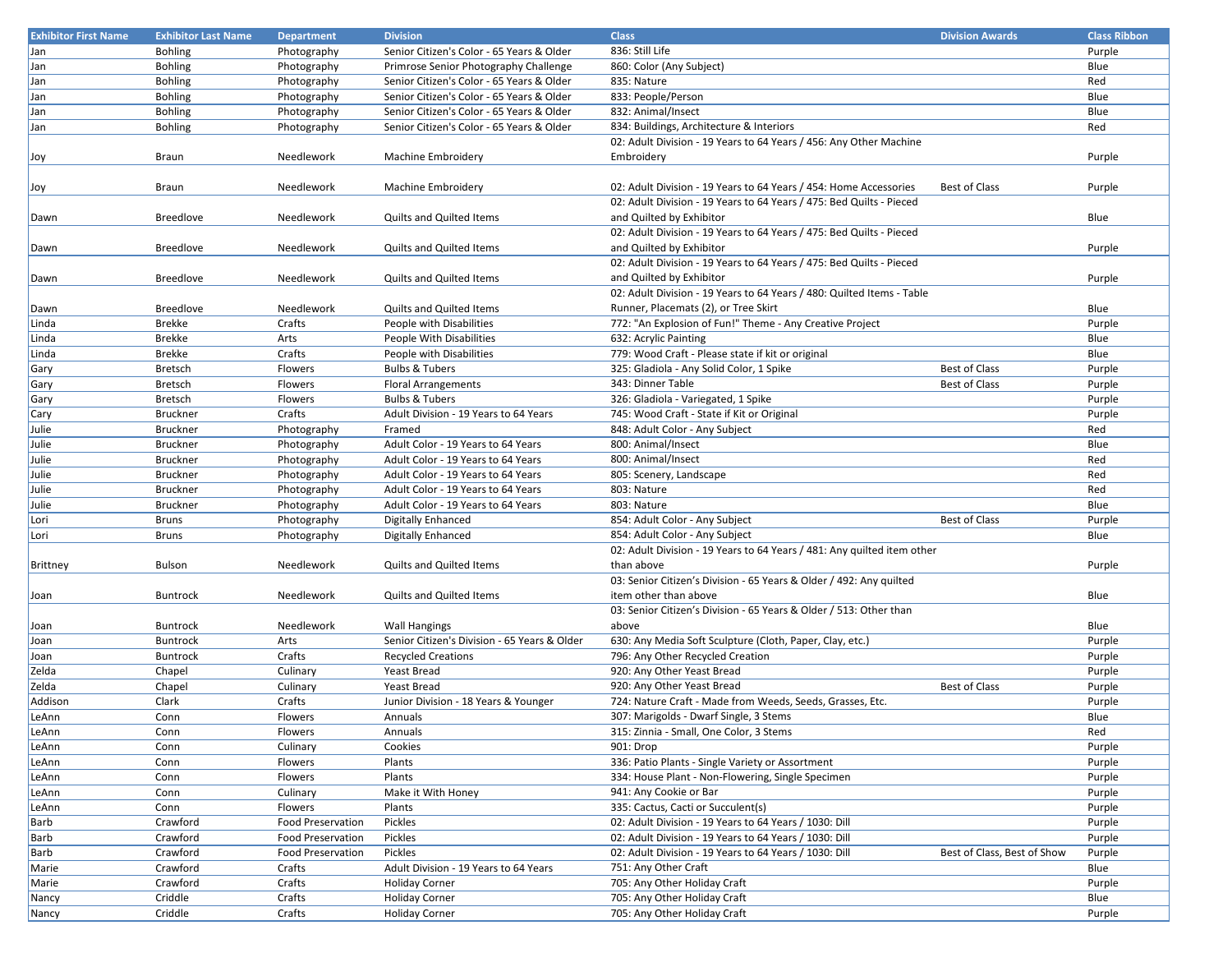| <b>Exhibitor First Name</b> | <b>Exhibitor Last Name</b> | <b>Department</b>        | <b>Division</b>                              | <b>Class</b>                                                            | <b>Division Awards</b>      | <b>Class Ribbon</b> |
|-----------------------------|----------------------------|--------------------------|----------------------------------------------|-------------------------------------------------------------------------|-----------------------------|---------------------|
| Jan                         | <b>Bohling</b>             | Photography              | Senior Citizen's Color - 65 Years & Older    | 836: Still Life                                                         |                             | Purple              |
| Jan                         | <b>Bohling</b>             | Photography              | Primrose Senior Photography Challenge        | 860: Color (Any Subject)                                                |                             | Blue                |
| Jan                         | <b>Bohling</b>             | Photography              | Senior Citizen's Color - 65 Years & Older    | 835: Nature                                                             |                             | Red                 |
| Jan                         | <b>Bohling</b>             | Photography              | Senior Citizen's Color - 65 Years & Older    | 833: People/Person                                                      |                             | Blue                |
| Jan                         | <b>Bohling</b>             | Photography              | Senior Citizen's Color - 65 Years & Older    | 832: Animal/Insect                                                      |                             | Blue                |
| Jan                         | <b>Bohling</b>             | Photography              | Senior Citizen's Color - 65 Years & Older    | 834: Buildings, Architecture & Interiors                                |                             | Red                 |
|                             |                            |                          |                                              | 02: Adult Division - 19 Years to 64 Years / 456: Any Other Machine      |                             |                     |
|                             | Braun                      |                          |                                              |                                                                         |                             |                     |
| Joy                         |                            | Needlework               | Machine Embroidery                           | Embroidery                                                              |                             | Purple              |
|                             |                            |                          |                                              |                                                                         | <b>Best of Class</b>        |                     |
| Joy                         | Braun                      | Needlework               | Machine Embroidery                           | 02: Adult Division - 19 Years to 64 Years / 454: Home Accessories       |                             | Purple              |
|                             |                            |                          |                                              | 02: Adult Division - 19 Years to 64 Years / 475: Bed Quilts - Pieced    |                             |                     |
| Dawn                        | <b>Breedlove</b>           | Needlework               | <b>Quilts and Quilted Items</b>              | and Quilted by Exhibitor                                                |                             | Blue                |
|                             |                            |                          |                                              | 02: Adult Division - 19 Years to 64 Years / 475: Bed Quilts - Pieced    |                             |                     |
| Dawn                        | <b>Breedlove</b>           | Needlework               | Quilts and Quilted Items                     | and Quilted by Exhibitor                                                |                             | Purple              |
|                             |                            |                          |                                              | 02: Adult Division - 19 Years to 64 Years / 475: Bed Quilts - Pieced    |                             |                     |
| Dawn                        | <b>Breedlove</b>           | Needlework               | Quilts and Quilted Items                     | and Quilted by Exhibitor                                                |                             | Purple              |
|                             |                            |                          |                                              | 02: Adult Division - 19 Years to 64 Years / 480: Quilted Items - Table  |                             |                     |
| Dawn                        | <b>Breedlove</b>           | Needlework               | Quilts and Quilted Items                     | Runner, Placemats (2), or Tree Skirt                                    |                             | Blue                |
| Linda                       | <b>Brekke</b>              | Crafts                   | People with Disabilities                     | 772: "An Explosion of Fun!" Theme - Any Creative Project                |                             | Purple              |
| Linda                       | <b>Brekke</b>              | Arts                     | People With Disabilities                     | 632: Acrylic Painting                                                   |                             | Blue                |
| Linda                       | <b>Brekke</b>              | Crafts                   | People with Disabilities                     | 779: Wood Craft - Please state if kit or original                       |                             | Blue                |
| Gary                        | Bretsch                    | Flowers                  | <b>Bulbs &amp; Tubers</b>                    | 325: Gladiola - Any Solid Color, 1 Spike                                | <b>Best of Class</b>        | Purple              |
| Gary                        | Bretsch                    | Flowers                  | <b>Floral Arrangements</b>                   | 343: Dinner Table                                                       | Best of Class               | Purple              |
| Gary                        | Bretsch                    | Flowers                  | <b>Bulbs &amp; Tubers</b>                    | 326: Gladiola - Variegated, 1 Spike                                     |                             | Purple              |
| Cary                        | <b>Bruckner</b>            | Crafts                   | Adult Division - 19 Years to 64 Years        | 745: Wood Craft - State if Kit or Original                              |                             | Purple              |
| Julie                       | <b>Bruckner</b>            | Photography              | Framed                                       | 848: Adult Color - Any Subject                                          |                             | Red                 |
| Julie                       | Bruckner                   | Photography              | Adult Color - 19 Years to 64 Years           | 800: Animal/Insect                                                      |                             | Blue                |
| Julie                       | Bruckner                   | Photography              | Adult Color - 19 Years to 64 Years           | 800: Animal/Insect                                                      |                             | Red                 |
| Julie                       | Bruckner                   | Photography              | Adult Color - 19 Years to 64 Years           | 805: Scenery, Landscape                                                 |                             | Red                 |
| Julie                       | Bruckner                   |                          | Adult Color - 19 Years to 64 Years           | 803: Nature                                                             |                             | Red                 |
|                             |                            | Photography              |                                              |                                                                         |                             |                     |
| Julie                       | Bruckner                   | Photography              | Adult Color - 19 Years to 64 Years           | 803: Nature                                                             |                             | Blue                |
| Lori                        | <b>Bruns</b>               | Photography              | <b>Digitally Enhanced</b>                    | 854: Adult Color - Any Subject                                          | Best of Class               | Purple              |
| Lori                        | <b>Bruns</b>               | Photography              | <b>Digitally Enhanced</b>                    | 854: Adult Color - Any Subject                                          |                             | Blue                |
|                             |                            |                          |                                              | 02: Adult Division - 19 Years to 64 Years / 481: Any quilted item other |                             |                     |
| <b>Brittney</b>             | <b>Bulson</b>              | Needlework               | <b>Quilts and Quilted Items</b>              | than above                                                              |                             | Purple              |
|                             |                            |                          |                                              | 03: Senior Citizen's Division - 65 Years & Older / 492: Any quilted     |                             |                     |
| Joan                        | <b>Buntrock</b>            | Needlework               | Quilts and Quilted Items                     | item other than above                                                   |                             | Blue                |
|                             |                            |                          |                                              | 03: Senior Citizen's Division - 65 Years & Older / 513: Other than      |                             |                     |
| Joan                        | <b>Buntrock</b>            | Needlework               | <b>Wall Hangings</b>                         | above                                                                   |                             | Blue                |
| Joan                        | Buntrock                   | Arts                     | Senior Citizen's Division - 65 Years & Older | 630: Any Media Soft Sculpture (Cloth, Paper, Clay, etc.)                |                             | Purple              |
| Joan                        | <b>Buntrock</b>            | Crafts                   | <b>Recycled Creations</b>                    | 796: Any Other Recycled Creation                                        |                             | Purple              |
| Zelda                       | Chapel                     | Culinary                 | Yeast Bread                                  | 920: Any Other Yeast Bread                                              |                             | Purple              |
| Zelda                       | Chapel                     | Culinary                 | Yeast Bread                                  | 920: Any Other Yeast Bread                                              | <b>Best of Class</b>        | Purple              |
| Addison                     | Clark                      | Crafts                   | Junior Division - 18 Years & Younger         | 724: Nature Craft - Made from Weeds, Seeds, Grasses, Etc.               |                             | Purple              |
| LeAnn                       | Conn                       | Flowers                  | Annuals                                      | 307: Marigolds - Dwarf Single, 3 Stems                                  |                             | Blue                |
| LeAnn                       | Conn                       | Flowers                  | Annuals                                      | 315: Zinnia - Small, One Color, 3 Stems                                 |                             | Red                 |
| LeAnn                       | Conn                       | Culinary                 | Cookies                                      | 901: Drop                                                               |                             | Purple              |
| LeAnn                       | Conn                       | Flowers                  | Plants                                       | 336: Patio Plants - Single Variety or Assortment                        |                             | Purple              |
| LeAnn                       | Conn                       | Flowers                  | Plants                                       | 334: House Plant - Non-Flowering, Single Specimen                       |                             | Purple              |
| LeAnn                       | Conn                       | Culinary                 | Make it With Honey                           | 941: Any Cookie or Bar                                                  |                             | Purple              |
| LeAnn                       | Conn                       | Flowers                  | Plants                                       | 335: Cactus, Cacti or Succulent(s)                                      |                             | Purple              |
| Barb                        | Crawford                   | <b>Food Preservation</b> | Pickles                                      | 02: Adult Division - 19 Years to 64 Years / 1030: Dill                  |                             | Purple              |
| <b>Barb</b>                 | Crawford                   | <b>Food Preservation</b> | Pickles                                      | 02: Adult Division - 19 Years to 64 Years / 1030: Dill                  |                             | Purple              |
|                             | Crawford                   | <b>Food Preservation</b> | Pickles                                      | 02: Adult Division - 19 Years to 64 Years / 1030: Dill                  | Best of Class, Best of Show |                     |
| Barb                        |                            |                          |                                              |                                                                         |                             | Purple              |
| Marie                       | Crawford                   | Crafts                   | Adult Division - 19 Years to 64 Years        | 751: Any Other Craft                                                    |                             | Blue                |
| Marie                       | Crawford                   | Crafts                   | <b>Holiday Corner</b>                        | 705: Any Other Holiday Craft                                            |                             | Purple              |
| Nancy                       | Criddle                    | Crafts                   | <b>Holiday Corner</b>                        | 705: Any Other Holiday Craft                                            |                             | Blue                |
| Nancy                       | Criddle                    | Crafts                   | <b>Holiday Corner</b>                        | 705: Any Other Holiday Craft                                            |                             | Purple              |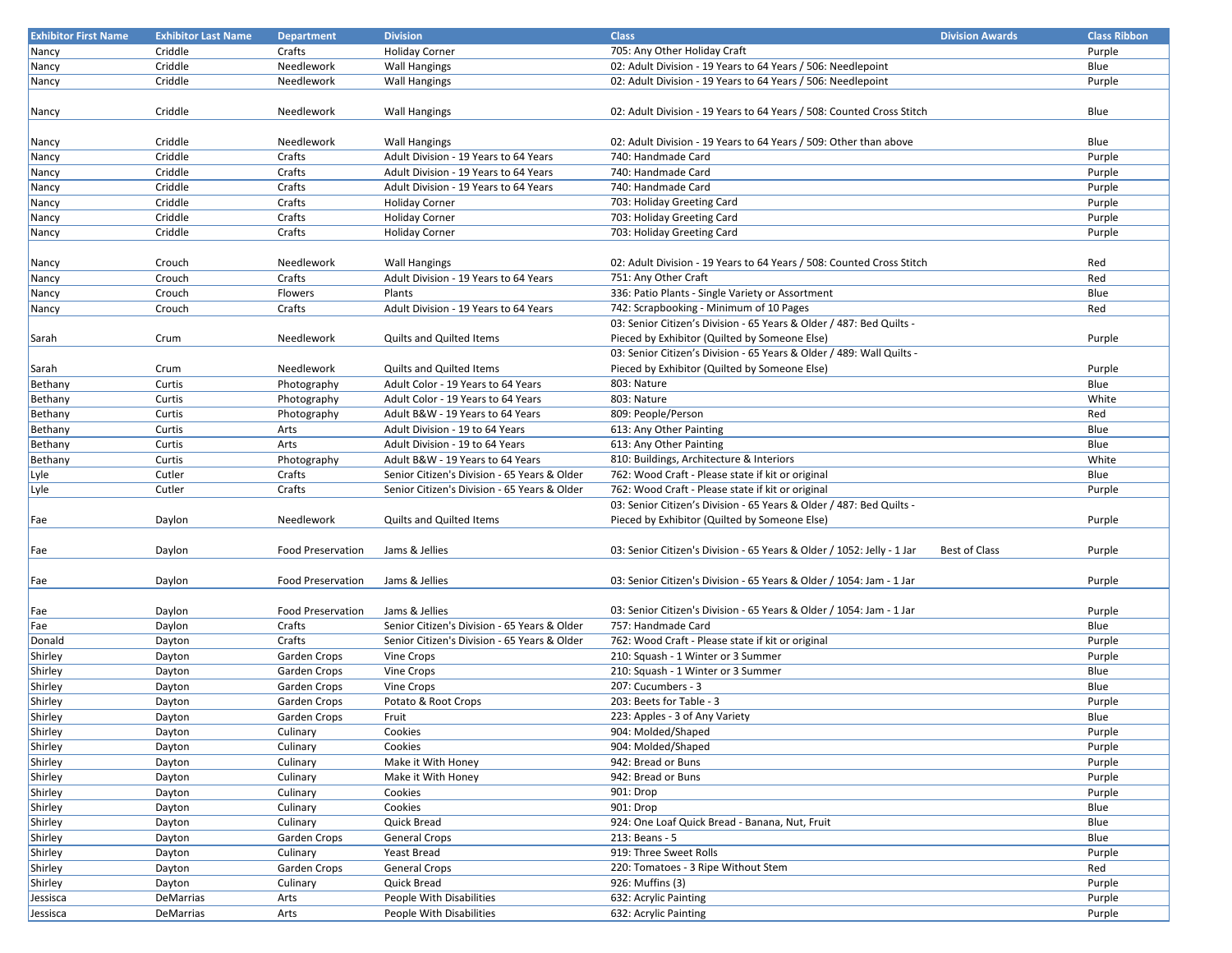| <b>Exhibitor First Name</b> | <b>Exhibitor Last Name</b> | <b>Department</b>        | <b>Division</b>                              | <b>Class</b>                                                           | <b>Division Awards</b> | <b>Class Ribbon</b> |
|-----------------------------|----------------------------|--------------------------|----------------------------------------------|------------------------------------------------------------------------|------------------------|---------------------|
| Nancy                       | Criddle                    | Crafts                   | <b>Holiday Corner</b>                        | 705: Any Other Holiday Craft                                           |                        | Purple              |
| Nancy                       | Criddle                    | Needlework               | <b>Wall Hangings</b>                         | 02: Adult Division - 19 Years to 64 Years / 506: Needlepoint           |                        | Blue                |
| Nancy                       | Criddle                    | Needlework               | <b>Wall Hangings</b>                         | 02: Adult Division - 19 Years to 64 Years / 506: Needlepoint           |                        | Purple              |
|                             |                            |                          |                                              |                                                                        |                        |                     |
| Nancy                       | Criddle                    | Needlework               | <b>Wall Hangings</b>                         | 02: Adult Division - 19 Years to 64 Years / 508: Counted Cross Stitch  |                        | Blue                |
|                             |                            |                          |                                              |                                                                        |                        |                     |
| Nancy                       | Criddle                    | Needlework               | <b>Wall Hangings</b>                         | 02: Adult Division - 19 Years to 64 Years / 509: Other than above      |                        | Blue                |
| Nancy                       | Criddle                    | Crafts                   | Adult Division - 19 Years to 64 Years        | 740: Handmade Card                                                     |                        | Purple              |
| Nancy                       | Criddle                    | Crafts                   | Adult Division - 19 Years to 64 Years        | 740: Handmade Card                                                     |                        | Purple              |
| Nancy                       | Criddle                    | Crafts                   | Adult Division - 19 Years to 64 Years        | 740: Handmade Card                                                     |                        | Purple              |
| Nancy                       | Criddle                    | Crafts                   | <b>Holiday Corner</b>                        | 703: Holiday Greeting Card                                             |                        | Purple              |
| Nancy                       | Criddle                    | Crafts                   | <b>Holiday Corner</b>                        | 703: Holiday Greeting Card                                             |                        | Purple              |
| Nancy                       | Criddle                    | Crafts                   | <b>Holiday Corner</b>                        | 703: Holiday Greeting Card                                             |                        | Purple              |
|                             |                            |                          |                                              |                                                                        |                        |                     |
| Nancy                       | Crouch                     | Needlework               | <b>Wall Hangings</b>                         | 02: Adult Division - 19 Years to 64 Years / 508: Counted Cross Stitch  |                        | Red                 |
| Nancy                       | Crouch                     | Crafts                   | Adult Division - 19 Years to 64 Years        | 751: Any Other Craft                                                   |                        | Red                 |
| Nancy                       | Crouch                     | Flowers                  | Plants                                       | 336: Patio Plants - Single Variety or Assortment                       |                        | Blue                |
| Nancy                       | Crouch                     | Crafts                   | Adult Division - 19 Years to 64 Years        | 742: Scrapbooking - Minimum of 10 Pages                                |                        | Red                 |
|                             |                            |                          |                                              | 03: Senior Citizen's Division - 65 Years & Older / 487: Bed Quilts -   |                        |                     |
| Sarah                       | Crum                       | Needlework               | Quilts and Quilted Items                     | Pieced by Exhibitor (Quilted by Someone Else)                          |                        | Purple              |
|                             |                            |                          |                                              | 03: Senior Citizen's Division - 65 Years & Older / 489: Wall Quilts -  |                        |                     |
| Sarah                       | Crum                       | Needlework               | Quilts and Quilted Items                     | Pieced by Exhibitor (Quilted by Someone Else)                          |                        | Purple              |
| Bethany                     | Curtis                     | Photography              | Adult Color - 19 Years to 64 Years           | 803: Nature                                                            |                        | Blue                |
| Bethany                     | Curtis                     | Photography              | Adult Color - 19 Years to 64 Years           | 803: Nature                                                            |                        | White               |
| Bethany                     | Curtis                     | Photography              | Adult B&W - 19 Years to 64 Years             | 809: People/Person                                                     |                        | Red                 |
| Bethany                     | Curtis                     | Arts                     | Adult Division - 19 to 64 Years              | 613: Any Other Painting                                                |                        | Blue                |
| Bethany                     | Curtis                     | Arts                     | Adult Division - 19 to 64 Years              | 613: Any Other Painting                                                |                        | Blue                |
| Bethany                     | Curtis                     | Photography              | Adult B&W - 19 Years to 64 Years             | 810: Buildings, Architecture & Interiors                               |                        | White               |
| Lyle                        | Cutler                     | Crafts                   | Senior Citizen's Division - 65 Years & Older | 762: Wood Craft - Please state if kit or original                      |                        | Blue                |
| Lyle                        | Cutler                     | Crafts                   | Senior Citizen's Division - 65 Years & Older | 762: Wood Craft - Please state if kit or original                      |                        | Purple              |
|                             |                            |                          |                                              | 03: Senior Citizen's Division - 65 Years & Older / 487: Bed Quilts -   |                        |                     |
|                             | Daylon                     | Needlework               | Quilts and Quilted Items                     | Pieced by Exhibitor (Quilted by Someone Else)                          |                        | Purple              |
| Fae                         |                            |                          |                                              |                                                                        |                        |                     |
| Fae                         | Daylon                     | <b>Food Preservation</b> | Jams & Jellies                               | 03: Senior Citizen's Division - 65 Years & Older / 1052: Jelly - 1 Jar | <b>Best of Class</b>   | Purple              |
|                             |                            |                          |                                              |                                                                        |                        |                     |
|                             | Daylon                     | <b>Food Preservation</b> | Jams & Jellies                               | 03: Senior Citizen's Division - 65 Years & Older / 1054: Jam - 1 Jar   |                        | Purple              |
| Fae                         |                            |                          |                                              |                                                                        |                        |                     |
| Fae                         | Daylon                     | <b>Food Preservation</b> | Jams & Jellies                               | 03: Senior Citizen's Division - 65 Years & Older / 1054: Jam - 1 Jar   |                        | Purple              |
| Fae                         | Daylon                     | Crafts                   | Senior Citizen's Division - 65 Years & Older | 757: Handmade Card                                                     |                        | Blue                |
| Donald                      | Dayton                     | Crafts                   | Senior Citizen's Division - 65 Years & Older | 762: Wood Craft - Please state if kit or original                      |                        | Purple              |
| Shirley                     | Dayton                     | Garden Crops             | Vine Crops                                   | 210: Squash - 1 Winter or 3 Summer                                     |                        | Purple              |
| Shirley                     | Dayton                     | Garden Crops             | Vine Crops                                   | 210: Squash - 1 Winter or 3 Summer                                     |                        | Blue                |
| Shirley                     | Dayton                     | Garden Crops             | Vine Crops                                   | 207: Cucumbers - 3                                                     |                        | Blue                |
| Shirley                     | Dayton                     | Garden Crops             | Potato & Root Crops                          | 203: Beets for Table - 3                                               |                        | Purple              |
| Shirley                     |                            | Garden Crops             | Fruit                                        | 223: Apples - 3 of Any Variety                                         |                        | Blue                |
|                             | Dayton                     |                          |                                              | 904: Molded/Shaped                                                     |                        | Purple              |
| Shirley<br>Shirley          | Dayton                     | Culinary                 | Cookies                                      | 904: Molded/Shaped                                                     |                        |                     |
|                             | Dayton                     | Culinary                 | Cookies                                      |                                                                        |                        | Purple              |
| Shirley                     | Dayton                     | Culinary                 | Make it With Honey                           | 942: Bread or Buns                                                     |                        | Purple              |
| Shirley                     | Dayton                     | Culinary                 | Make it With Honey                           | 942: Bread or Buns                                                     |                        | Purple              |
| Shirley                     | Dayton                     | Culinary                 | Cookies                                      | 901: Drop                                                              |                        | Purple              |
| Shirley                     | Dayton                     | Culinary                 | Cookies                                      | 901: Drop                                                              |                        | Blue                |
| Shirley                     | Dayton                     | Culinary                 | Quick Bread                                  | 924: One Loaf Quick Bread - Banana, Nut, Fruit                         |                        | Blue                |
| Shirley                     | Dayton                     | Garden Crops             | <b>General Crops</b>                         | 213: Beans - 5                                                         |                        | Blue                |
| Shirley                     | Dayton                     | Culinary                 | Yeast Bread                                  | 919: Three Sweet Rolls                                                 |                        | Purple              |
| Shirley                     | Dayton                     | Garden Crops             | General Crops                                | 220: Tomatoes - 3 Ripe Without Stem                                    |                        | Red                 |
| Shirley                     | Dayton                     | Culinary                 | Quick Bread                                  | 926: Muffins (3)                                                       |                        | Purple              |
| Jessisca                    | DeMarrias                  | Arts                     | People With Disabilities                     | 632: Acrylic Painting                                                  |                        | Purple              |
| Jessisca                    | DeMarrias                  | Arts                     | People With Disabilities                     | 632: Acrylic Painting                                                  |                        | Purple              |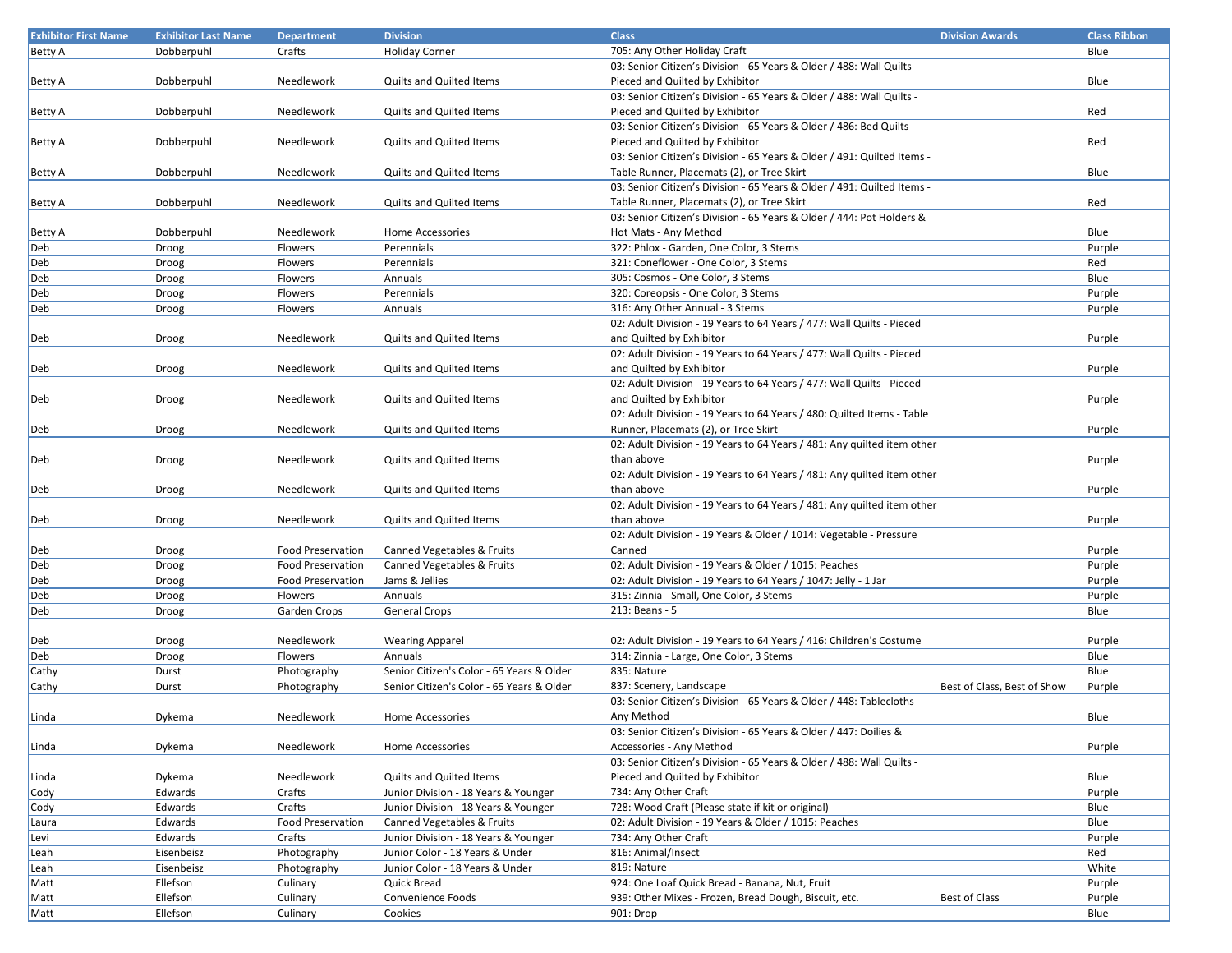| <b>Exhibitor First Name</b> | <b>Exhibitor Last Name</b> | <b>Department</b>        | <b>Division</b>                           | <b>Class</b>                                                            | <b>Division Awards</b>      | <b>Class Ribbon</b> |
|-----------------------------|----------------------------|--------------------------|-------------------------------------------|-------------------------------------------------------------------------|-----------------------------|---------------------|
| <b>Betty A</b>              | Dobberpuhl                 | Crafts                   | <b>Holiday Corner</b>                     | 705: Any Other Holiday Craft                                            |                             | Blue                |
|                             |                            |                          |                                           | 03: Senior Citizen's Division - 65 Years & Older / 488: Wall Quilts -   |                             |                     |
| Betty A                     | Dobberpuhl                 | Needlework               | Quilts and Quilted Items                  | Pieced and Quilted by Exhibitor                                         |                             | Blue                |
|                             |                            |                          |                                           | 03: Senior Citizen's Division - 65 Years & Older / 488: Wall Quilts -   |                             |                     |
| Betty A                     | Dobberpuhl                 | Needlework               | <b>Quilts and Quilted Items</b>           | Pieced and Quilted by Exhibitor                                         |                             | Red                 |
|                             |                            |                          |                                           | 03: Senior Citizen's Division - 65 Years & Older / 486: Bed Quilts -    |                             |                     |
|                             | Dobberpuhl                 | Needlework               | Quilts and Quilted Items                  | Pieced and Quilted by Exhibitor                                         |                             | Red                 |
| Betty A                     |                            |                          |                                           | 03: Senior Citizen's Division - 65 Years & Older / 491: Quilted Items - |                             |                     |
|                             |                            |                          |                                           | Table Runner, Placemats (2), or Tree Skirt                              |                             |                     |
| Betty A                     | Dobberpuhl                 | Needlework               | <b>Quilts and Quilted Items</b>           |                                                                         |                             | Blue                |
|                             |                            |                          |                                           | 03: Senior Citizen's Division - 65 Years & Older / 491: Quilted Items - |                             |                     |
| Betty A                     | Dobberpuhl                 | Needlework               | Quilts and Quilted Items                  | Table Runner, Placemats (2), or Tree Skirt                              |                             | Red                 |
|                             |                            |                          |                                           | 03: Senior Citizen's Division - 65 Years & Older / 444: Pot Holders &   |                             |                     |
| Betty A                     | Dobberpuhl                 | Needlework               | Home Accessories                          | Hot Mats - Any Method                                                   |                             | Blue                |
| Deb                         | Droog                      | Flowers                  | Perennials                                | 322: Phlox - Garden, One Color, 3 Stems                                 |                             | Purple              |
| Deb                         | Droog                      | Flowers                  | Perennials                                | 321: Coneflower - One Color, 3 Stems                                    |                             | Red                 |
| Deb                         | Droog                      | Flowers                  | Annuals                                   | 305: Cosmos - One Color, 3 Stems                                        |                             | Blue                |
| Deb                         | Droog                      | Flowers                  | Perennials                                | 320: Coreopsis - One Color, 3 Stems                                     |                             | Purple              |
| Deb                         | Droog                      | Flowers                  | Annuals                                   | 316: Any Other Annual - 3 Stems                                         |                             | Purple              |
|                             |                            |                          |                                           | 02: Adult Division - 19 Years to 64 Years / 477: Wall Quilts - Pieced   |                             |                     |
| Deb                         | Droog                      | Needlework               | <b>Quilts and Quilted Items</b>           | and Quilted by Exhibitor                                                |                             | Purple              |
|                             |                            |                          |                                           | 02: Adult Division - 19 Years to 64 Years / 477: Wall Quilts - Pieced   |                             |                     |
| Deb                         | Droog                      | Needlework               | Quilts and Quilted Items                  | and Quilted by Exhibitor                                                |                             | Purple              |
|                             |                            |                          |                                           | 02: Adult Division - 19 Years to 64 Years / 477: Wall Quilts - Pieced   |                             |                     |
| Deb                         | Droog                      | Needlework               | Quilts and Quilted Items                  | and Quilted by Exhibitor                                                |                             | Purple              |
|                             |                            |                          |                                           | 02: Adult Division - 19 Years to 64 Years / 480: Quilted Items - Table  |                             |                     |
| Deb                         | Droog                      | Needlework               | <b>Quilts and Quilted Items</b>           | Runner, Placemats (2), or Tree Skirt                                    |                             | Purple              |
|                             |                            |                          |                                           | 02: Adult Division - 19 Years to 64 Years / 481: Any quilted item other |                             |                     |
| Deb                         | Droog                      | Needlework               | <b>Quilts and Quilted Items</b>           | than above                                                              |                             | Purple              |
|                             |                            |                          |                                           | 02: Adult Division - 19 Years to 64 Years / 481: Any quilted item other |                             |                     |
|                             |                            | Needlework               | Quilts and Quilted Items                  | than above                                                              |                             | Purple              |
| Deb                         | Droog                      |                          |                                           |                                                                         |                             |                     |
|                             |                            |                          |                                           | 02: Adult Division - 19 Years to 64 Years / 481: Any quilted item other |                             |                     |
| Deb                         | Droog                      | Needlework               | Quilts and Quilted Items                  | than above                                                              |                             | Purple              |
|                             |                            |                          |                                           | 02: Adult Division - 19 Years & Older / 1014: Vegetable - Pressure      |                             |                     |
| Deb                         | Droog                      | <b>Food Preservation</b> | Canned Vegetables & Fruits                | Canned                                                                  |                             | Purple              |
| Deb                         | Droog                      | <b>Food Preservation</b> | Canned Vegetables & Fruits                | 02: Adult Division - 19 Years & Older / 1015: Peaches                   |                             | Purple              |
| Deb                         | Droog                      | Food Preservation        | Jams & Jellies                            | 02: Adult Division - 19 Years to 64 Years / 1047: Jelly - 1 Jar         |                             | Purple              |
| Deb                         | Droog                      | Flowers                  | Annuals                                   | 315: Zinnia - Small, One Color, 3 Stems                                 |                             | Purple              |
| Deb                         | Droog                      | Garden Crops             | <b>General Crops</b>                      | 213: Beans - 5                                                          |                             | Blue                |
|                             |                            |                          |                                           |                                                                         |                             |                     |
| Deb                         | Droog                      | Needlework               | <b>Wearing Apparel</b>                    | 02: Adult Division - 19 Years to 64 Years / 416: Children's Costume     |                             | Purple              |
| Deb                         | Droog                      | Flowers                  | Annuals                                   | 314: Zinnia - Large, One Color, 3 Stems                                 |                             | Blue                |
| Cathy                       | Durst                      | Photography              | Senior Citizen's Color - 65 Years & Older | 835: Nature                                                             |                             | Blue                |
| Cathy                       | Durst                      | Photography              | Senior Citizen's Color - 65 Years & Older | 837: Scenery, Landscape                                                 | Best of Class, Best of Show | Purple              |
|                             |                            |                          |                                           | 03: Senior Citizen's Division - 65 Years & Older / 448: Tablecloths -   |                             |                     |
| Linda                       | Dykema                     | Needlework               | <b>Home Accessories</b>                   | Any Method                                                              |                             | Blue                |
|                             |                            |                          |                                           | 03: Senior Citizen's Division - 65 Years & Older / 447: Doilies &       |                             |                     |
| Linda                       | Dykema                     | Needlework               | Home Accessories                          | Accessories - Any Method                                                |                             | Purple              |
|                             |                            |                          |                                           | 03: Senior Citizen's Division - 65 Years & Older / 488: Wall Quilts -   |                             |                     |
| Linda                       | Dykema                     | Needlework               | <b>Quilts and Quilted Items</b>           | Pieced and Quilted by Exhibitor                                         |                             | Blue                |
| Cody                        | Edwards                    | Crafts                   | Junior Division - 18 Years & Younger      | 734: Any Other Craft                                                    |                             | Purple              |
| Cody                        | Edwards                    | Crafts                   | Junior Division - 18 Years & Younger      | 728: Wood Craft (Please state if kit or original)                       |                             | Blue                |
| Laura                       | Edwards                    | Food Preservation        | Canned Vegetables & Fruits                | 02: Adult Division - 19 Years & Older / 1015: Peaches                   |                             | Blue                |
| Levi                        | Edwards                    | Crafts                   | Junior Division - 18 Years & Younger      | 734: Any Other Craft                                                    |                             | Purple              |
|                             | Eisenbeisz                 | Photography              | Junior Color - 18 Years & Under           | 816: Animal/Insect                                                      |                             | Red                 |
| Leah                        | Eisenbeisz                 | Photography              |                                           | 819: Nature                                                             |                             | White               |
| Leah                        |                            |                          | Junior Color - 18 Years & Under           | 924: One Loaf Quick Bread - Banana, Nut, Fruit                          |                             |                     |
| Matt                        | Ellefson                   | Culinary                 | Quick Bread                               |                                                                         |                             | Purple              |
| Matt                        | Ellefson                   | Culinary                 | Convenience Foods                         | 939: Other Mixes - Frozen, Bread Dough, Biscuit, etc.                   | Best of Class               | Purple              |
| Matt                        | Ellefson                   | Culinary                 | Cookies                                   | 901: Drop                                                               |                             | Blue                |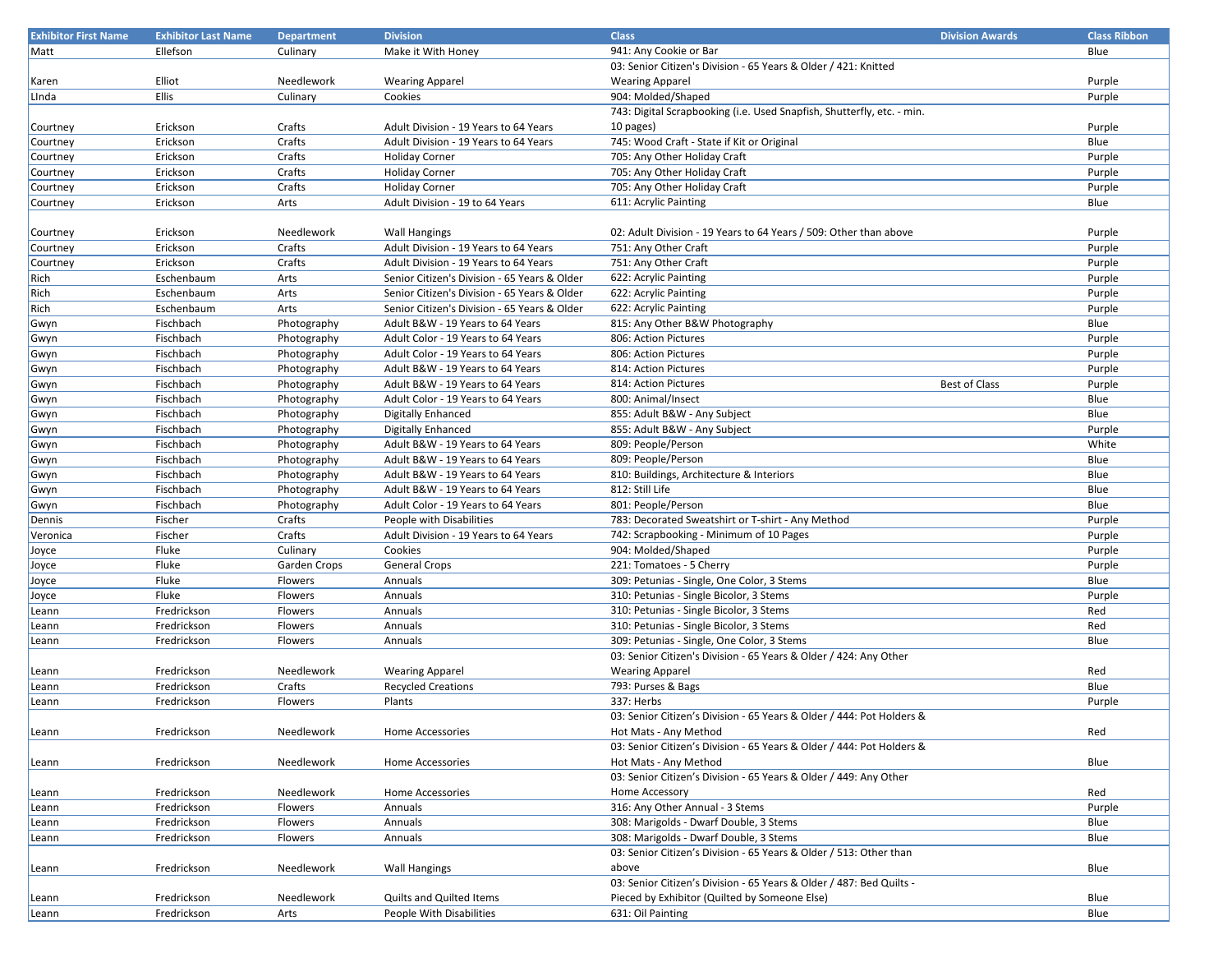| <b>Exhibitor First Name</b> | <b>Exhibitor Last Name</b> | <b>Department</b> | <b>Division</b>                              | <b>Class</b>                                                           | <b>Division Awards</b> | <b>Class Ribbon</b> |
|-----------------------------|----------------------------|-------------------|----------------------------------------------|------------------------------------------------------------------------|------------------------|---------------------|
| Matt                        | Ellefson                   | Culinary          | Make it With Honey                           | 941: Any Cookie or Bar                                                 |                        | Blue                |
|                             |                            |                   |                                              | 03: Senior Citizen's Division - 65 Years & Older / 421: Knitted        |                        |                     |
| Karen                       | Elliot                     | Needlework        | <b>Wearing Apparel</b>                       | <b>Wearing Apparel</b>                                                 |                        | Purple              |
| Linda                       | Ellis                      | Culinary          | Cookies                                      | 904: Molded/Shaped                                                     |                        | Purple              |
|                             |                            |                   |                                              | 743: Digital Scrapbooking (i.e. Used Snapfish, Shutterfly, etc. - min. |                        |                     |
| Courtney                    | Erickson                   | Crafts            | Adult Division - 19 Years to 64 Years        | 10 pages)                                                              |                        | Purple              |
| Courtney                    | Erickson                   | Crafts            | Adult Division - 19 Years to 64 Years        | 745: Wood Craft - State if Kit or Original                             |                        | Blue                |
| Courtney                    | Erickson                   | Crafts            | <b>Holiday Corner</b>                        | 705: Any Other Holiday Craft                                           |                        | Purple              |
| Courtney                    | Erickson                   | Crafts            | <b>Holiday Corner</b>                        | 705: Any Other Holiday Craft                                           |                        | Purple              |
|                             |                            | Crafts            |                                              | 705: Any Other Holiday Craft                                           |                        |                     |
| Courtney                    | Erickson                   |                   | <b>Holiday Corner</b>                        | 611: Acrylic Painting                                                  |                        | Purple              |
| Courtney                    | Erickson                   | Arts              | Adult Division - 19 to 64 Years              |                                                                        |                        | Blue                |
|                             |                            |                   |                                              |                                                                        |                        |                     |
| Courtney                    | Erickson                   | Needlework        | <b>Wall Hangings</b>                         | 02: Adult Division - 19 Years to 64 Years / 509: Other than above      |                        | Purple              |
| Courtney                    | Erickson                   | Crafts            | Adult Division - 19 Years to 64 Years        | 751: Any Other Craft                                                   |                        | Purple              |
| Courtney                    | Erickson                   | Crafts            | Adult Division - 19 Years to 64 Years        | 751: Any Other Craft                                                   |                        | Purple              |
| Rich                        | Eschenbaum                 | Arts              | Senior Citizen's Division - 65 Years & Older | 622: Acrylic Painting                                                  |                        | Purple              |
| Rich                        | Eschenbaum                 | Arts              | Senior Citizen's Division - 65 Years & Older | 622: Acrylic Painting                                                  |                        | Purple              |
| Rich                        | Eschenbaum                 | Arts              | Senior Citizen's Division - 65 Years & Older | 622: Acrylic Painting                                                  |                        | Purple              |
| Gwyn                        | Fischbach                  | Photography       | Adult B&W - 19 Years to 64 Years             | 815: Any Other B&W Photography                                         |                        | Blue                |
| Gwyn                        | Fischbach                  | Photography       | Adult Color - 19 Years to 64 Years           | 806: Action Pictures                                                   |                        | Purple              |
| Gwyn                        | Fischbach                  | Photography       | Adult Color - 19 Years to 64 Years           | 806: Action Pictures                                                   |                        | Purple              |
| Gwyn                        | Fischbach                  | Photography       | Adult B&W - 19 Years to 64 Years             | 814: Action Pictures                                                   |                        | Purple              |
| Gwyn                        | Fischbach                  | Photography       | Adult B&W - 19 Years to 64 Years             | 814: Action Pictures                                                   | <b>Best of Class</b>   | Purple              |
| Gwyn                        | Fischbach                  | Photography       | Adult Color - 19 Years to 64 Years           | 800: Animal/Insect                                                     |                        | Blue                |
| Gwyn                        | Fischbach                  | Photography       | <b>Digitally Enhanced</b>                    | 855: Adult B&W - Any Subject                                           |                        | Blue                |
| Gwyn                        | Fischbach                  | Photography       | <b>Digitally Enhanced</b>                    | 855: Adult B&W - Any Subject                                           |                        | Purple              |
| Gwyn                        | Fischbach                  | Photography       | Adult B&W - 19 Years to 64 Years             | 809: People/Person                                                     |                        | White               |
| Gwyn                        | Fischbach                  | Photography       | Adult B&W - 19 Years to 64 Years             | 809: People/Person                                                     |                        | Blue                |
| Gwyn                        | Fischbach                  | Photography       | Adult B&W - 19 Years to 64 Years             | 810: Buildings, Architecture & Interiors                               |                        | Blue                |
| Gwyn                        | Fischbach                  | Photography       | Adult B&W - 19 Years to 64 Years             | 812: Still Life                                                        |                        | Blue                |
| Gwyn                        | Fischbach                  | Photography       | Adult Color - 19 Years to 64 Years           | 801: People/Person                                                     |                        | Blue                |
| Dennis                      | Fischer                    | Crafts            | People with Disabilities                     | 783: Decorated Sweatshirt or T-shirt - Any Method                      |                        |                     |
|                             |                            | Crafts            | Adult Division - 19 Years to 64 Years        |                                                                        |                        | Purple              |
| Veronica                    | Fischer                    |                   |                                              | 742: Scrapbooking - Minimum of 10 Pages                                |                        | Purple              |
| Joyce                       | Fluke                      | Culinary          | Cookies                                      | 904: Molded/Shaped                                                     |                        | Purple              |
| Joyce                       | Fluke                      | Garden Crops      | General Crops                                | 221: Tomatoes - 5 Cherry                                               |                        | Purple              |
| Joyce                       | Fluke                      | Flowers           | Annuals                                      | 309: Petunias - Single, One Color, 3 Stems                             |                        | Blue                |
| Joyce                       | Fluke                      | Flowers           | Annuals                                      | 310: Petunias - Single Bicolor, 3 Stems                                |                        | Purple              |
| Leann                       | Fredrickson                | Flowers           | Annuals                                      | 310: Petunias - Single Bicolor, 3 Stems                                |                        | Red                 |
| Leann                       | Fredrickson                | Flowers           | Annuals                                      | 310: Petunias - Single Bicolor, 3 Stems                                |                        | Red                 |
| Leann                       | Fredrickson                | Flowers           | Annuals                                      | 309: Petunias - Single, One Color, 3 Stems                             |                        | Blue                |
|                             |                            |                   |                                              | 03: Senior Citizen's Division - 65 Years & Older / 424: Any Other      |                        |                     |
| Leann                       | Fredrickson                | Needlework        | <b>Wearing Apparel</b>                       | <b>Wearing Apparel</b>                                                 |                        | Red                 |
| Leann                       | Fredrickson                | Crafts            | <b>Recycled Creations</b>                    | 793: Purses & Bags                                                     |                        | Blue                |
| Leann                       | Fredrickson                | Flowers           | Plants                                       | 337: Herbs                                                             |                        | Purple              |
|                             |                            |                   |                                              | 03: Senior Citizen's Division - 65 Years & Older / 444: Pot Holders &  |                        |                     |
| Leann                       | Fredrickson                | Needlework        | Home Accessories                             | Hot Mats - Any Method                                                  |                        | Red                 |
|                             |                            |                   |                                              | 03: Senior Citizen's Division - 65 Years & Older / 444: Pot Holders &  |                        |                     |
| Leann                       | Fredrickson                | Needlework        | Home Accessories                             | Hot Mats - Any Method                                                  |                        | Blue                |
|                             |                            |                   |                                              | 03: Senior Citizen's Division - 65 Years & Older / 449: Any Other      |                        |                     |
| Leann                       | Fredrickson                | Needlework        | Home Accessories                             | Home Accessory                                                         |                        | Red                 |
| Leann                       | Fredrickson                | Flowers           | Annuals                                      | 316: Any Other Annual - 3 Stems                                        |                        | Purple              |
| Leann                       | Fredrickson                | Flowers           | Annuals                                      | 308: Marigolds - Dwarf Double, 3 Stems                                 |                        | Blue                |
| Leann                       | Fredrickson                | Flowers           | Annuals                                      | 308: Marigolds - Dwarf Double, 3 Stems                                 |                        | Blue                |
|                             |                            |                   |                                              | 03: Senior Citizen's Division - 65 Years & Older / 513: Other than     |                        |                     |
| Leann                       | Fredrickson                | Needlework        | <b>Wall Hangings</b>                         | above                                                                  |                        | Blue                |
|                             |                            |                   |                                              | 03: Senior Citizen's Division - 65 Years & Older / 487: Bed Quilts -   |                        |                     |
| Leann                       | Fredrickson                | Needlework        | Quilts and Quilted Items                     | Pieced by Exhibitor (Quilted by Someone Else)                          |                        | Blue                |
|                             |                            |                   | People With Disabilities                     |                                                                        |                        |                     |
| Leann                       | Fredrickson                | Arts              |                                              | 631: Oil Painting                                                      |                        | Blue                |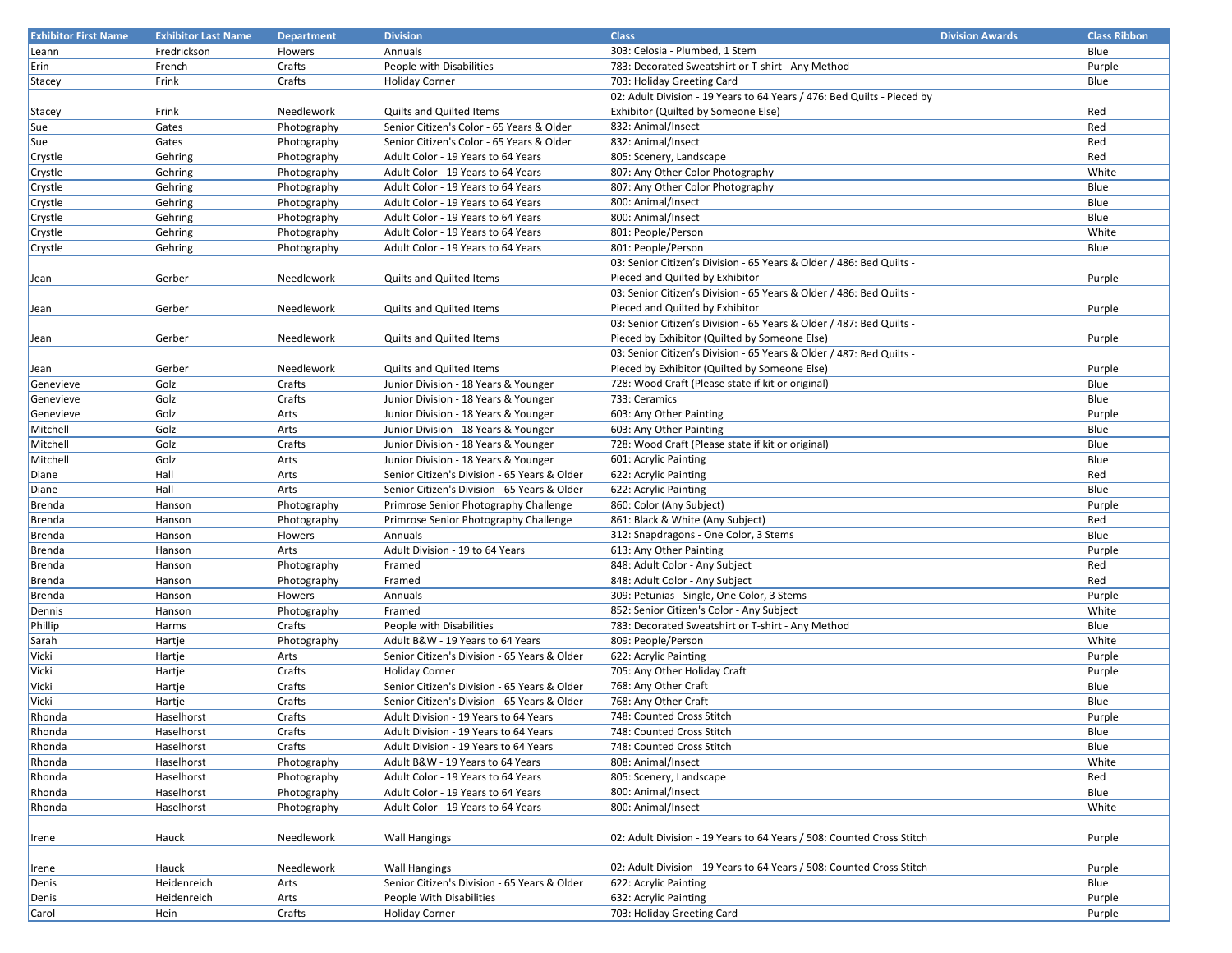| <b>Exhibitor First Name</b> | <b>Exhibitor Last Name</b> | <b>Department</b> | <b>Division</b>                              | <b>Class</b>                                                            | <b>Division Awards</b> | <b>Class Ribbon</b> |
|-----------------------------|----------------------------|-------------------|----------------------------------------------|-------------------------------------------------------------------------|------------------------|---------------------|
| Leann                       | Fredrickson                | Flowers           | Annuals                                      | 303: Celosia - Plumbed, 1 Stem                                          |                        | Blue                |
| Erin                        | French                     | Crafts            | People with Disabilities                     | 783: Decorated Sweatshirt or T-shirt - Any Method                       |                        | Purple              |
| Stacey                      | Frink                      | Crafts            | <b>Holiday Corner</b>                        | 703: Holiday Greeting Card                                              |                        | Blue                |
|                             |                            |                   |                                              | 02: Adult Division - 19 Years to 64 Years / 476: Bed Quilts - Pieced by |                        |                     |
| Stacey                      | Frink                      | Needlework        | Quilts and Quilted Items                     | Exhibitor (Quilted by Someone Else)                                     |                        | Red                 |
| Sue                         | Gates                      | Photography       | Senior Citizen's Color - 65 Years & Older    | 832: Animal/Insect                                                      |                        | Red                 |
| Sue                         | Gates                      | Photography       | Senior Citizen's Color - 65 Years & Older    | 832: Animal/Insect                                                      |                        | Red                 |
| Crystle                     | Gehring                    | Photography       | Adult Color - 19 Years to 64 Years           | 805: Scenery, Landscape                                                 |                        | Red                 |
| Crystle                     | Gehring                    | Photography       | Adult Color - 19 Years to 64 Years           | 807: Any Other Color Photography                                        |                        | White               |
| Crystle                     | Gehring                    | Photography       | Adult Color - 19 Years to 64 Years           | 807: Any Other Color Photography                                        |                        | Blue                |
| Crystle                     | Gehring                    | Photography       | Adult Color - 19 Years to 64 Years           | 800: Animal/Insect                                                      |                        | Blue                |
| Crystle                     | Gehring                    | Photography       | Adult Color - 19 Years to 64 Years           | 800: Animal/Insect                                                      |                        | Blue                |
| Crystle                     | Gehring                    | Photography       | Adult Color - 19 Years to 64 Years           | 801: People/Person                                                      |                        | White               |
| Crystle                     | Gehring                    | Photography       | Adult Color - 19 Years to 64 Years           | 801: People/Person                                                      |                        | Blue                |
|                             |                            |                   |                                              | 03: Senior Citizen's Division - 65 Years & Older / 486: Bed Quilts -    |                        |                     |
| Jean                        | Gerber                     | Needlework        | <b>Quilts and Quilted Items</b>              | Pieced and Quilted by Exhibitor                                         |                        | Purple              |
|                             |                            |                   |                                              | 03: Senior Citizen's Division - 65 Years & Older / 486: Bed Quilts -    |                        |                     |
| Jean                        | Gerber                     | Needlework        | <b>Quilts and Quilted Items</b>              | Pieced and Quilted by Exhibitor                                         |                        | Purple              |
|                             |                            |                   |                                              | 03: Senior Citizen's Division - 65 Years & Older / 487: Bed Quilts -    |                        |                     |
|                             | Gerber                     | Needlework        | <b>Quilts and Quilted Items</b>              | Pieced by Exhibitor (Quilted by Someone Else)                           |                        | Purple              |
| Jean                        |                            |                   |                                              | 03: Senior Citizen's Division - 65 Years & Older / 487: Bed Quilts -    |                        |                     |
|                             | Gerber                     | Needlework        | <b>Quilts and Quilted Items</b>              | Pieced by Exhibitor (Quilted by Someone Else)                           |                        | Purple              |
| Jean                        | Golz                       | Crafts            | Junior Division - 18 Years & Younger         | 728: Wood Craft (Please state if kit or original)                       |                        | Blue                |
| Genevieve                   | Golz                       | Crafts            |                                              | 733: Ceramics                                                           |                        | Blue                |
| Genevieve                   | Golz                       | Arts              | Junior Division - 18 Years & Younger         | 603: Any Other Painting                                                 |                        | Purple              |
| Genevieve                   |                            |                   | Junior Division - 18 Years & Younger         |                                                                         |                        |                     |
| Mitchell                    | Golz                       | Arts              | Junior Division - 18 Years & Younger         | 603: Any Other Painting                                                 |                        | Blue                |
| Mitchell                    | Golz                       | Crafts            | Junior Division - 18 Years & Younger         | 728: Wood Craft (Please state if kit or original)                       |                        | Blue                |
| Mitchell                    | Golz                       | Arts              | Junior Division - 18 Years & Younger         | 601: Acrylic Painting                                                   |                        | Blue                |
| Diane                       | Hall                       | Arts              | Senior Citizen's Division - 65 Years & Older | 622: Acrylic Painting                                                   |                        | Red                 |
| Diane                       | Hall                       | Arts              | Senior Citizen's Division - 65 Years & Older | 622: Acrylic Painting                                                   |                        | Blue                |
| Brenda                      | Hanson                     | Photography       | Primrose Senior Photography Challenge        | 860: Color (Any Subject)                                                |                        | Purple              |
| Brenda                      | Hanson                     | Photography       | Primrose Senior Photography Challenge        | 861: Black & White (Any Subject)                                        |                        | Red                 |
| Brenda                      | Hanson                     | Flowers           | Annuals                                      | 312: Snapdragons - One Color, 3 Stems                                   |                        | Blue                |
| Brenda                      | Hanson                     | Arts              | Adult Division - 19 to 64 Years              | 613: Any Other Painting                                                 |                        | Purple              |
| Brenda                      | Hanson                     | Photography       | Framed                                       | 848: Adult Color - Any Subject                                          |                        | Red                 |
| Brenda                      | Hanson                     | Photography       | Framed                                       | 848: Adult Color - Any Subject                                          |                        | Red                 |
| Brenda                      | Hanson                     | Flowers           | Annuals                                      | 309: Petunias - Single, One Color, 3 Stems                              |                        | Purple              |
| Dennis                      | Hanson                     | Photography       | Framed                                       | 852: Senior Citizen's Color - Any Subject                               |                        | White               |
| Phillip                     | Harms                      | Crafts            | People with Disabilities                     | 783: Decorated Sweatshirt or T-shirt - Any Method                       |                        | Blue                |
| Sarah                       | Hartje                     | Photography       | Adult B&W - 19 Years to 64 Years             | 809: People/Person                                                      |                        | White               |
| Vicki                       | Hartje                     | Arts              | Senior Citizen's Division - 65 Years & Older | 622: Acrylic Painting                                                   |                        | Purple              |
| Vicki                       | Hartje                     | Crafts            | <b>Holiday Corner</b>                        | 705: Any Other Holiday Craft                                            |                        | Purple              |
| Vicki                       | Hartje                     | Crafts            | Senior Citizen's Division - 65 Years & Older | 768: Any Other Craft                                                    |                        | Blue                |
| Vicki                       | Hartje                     | Crafts            | Senior Citizen's Division - 65 Years & Older | 768: Any Other Craft                                                    |                        | Blue                |
| Rhonda                      | Haselhorst                 | Crafts            | Adult Division - 19 Years to 64 Years        | 748: Counted Cross Stitch                                               |                        | Purple              |
| Rhonda                      | Haselhorst                 | Crafts            | Adult Division - 19 Years to 64 Years        | 748: Counted Cross Stitch                                               |                        | Blue                |
| Rhonda                      | Haselhorst                 | Crafts            | Adult Division - 19 Years to 64 Years        | 748: Counted Cross Stitch                                               |                        | Blue                |
| Rhonda                      | Haselhorst                 | Photography       | Adult B&W - 19 Years to 64 Years             | 808: Animal/Insect                                                      |                        | White               |
| Rhonda                      | Haselhorst                 | Photography       | Adult Color - 19 Years to 64 Years           | 805: Scenery, Landscape                                                 |                        | Red                 |
| Rhonda                      | Haselhorst                 | Photography       | Adult Color - 19 Years to 64 Years           | 800: Animal/Insect                                                      |                        | Blue                |
| Rhonda                      | Haselhorst                 | Photography       | Adult Color - 19 Years to 64 Years           | 800: Animal/Insect                                                      |                        | White               |
|                             |                            |                   |                                              |                                                                         |                        |                     |
| Irene                       | Hauck                      | Needlework        | <b>Wall Hangings</b>                         | 02: Adult Division - 19 Years to 64 Years / 508: Counted Cross Stitch   |                        | Purple              |
|                             |                            |                   |                                              |                                                                         |                        |                     |
| Irene                       | Hauck                      | Needlework        | <b>Wall Hangings</b>                         | 02: Adult Division - 19 Years to 64 Years / 508: Counted Cross Stitch   |                        | Purple              |
| Denis                       | Heidenreich                | Arts              | Senior Citizen's Division - 65 Years & Older | 622: Acrylic Painting                                                   |                        | Blue                |
| Denis                       | Heidenreich                | Arts              | People With Disabilities                     | 632: Acrylic Painting                                                   |                        | Purple              |
| Carol                       | Hein                       | Crafts            | <b>Holiday Corner</b>                        | 703: Holiday Greeting Card                                              |                        | Purple              |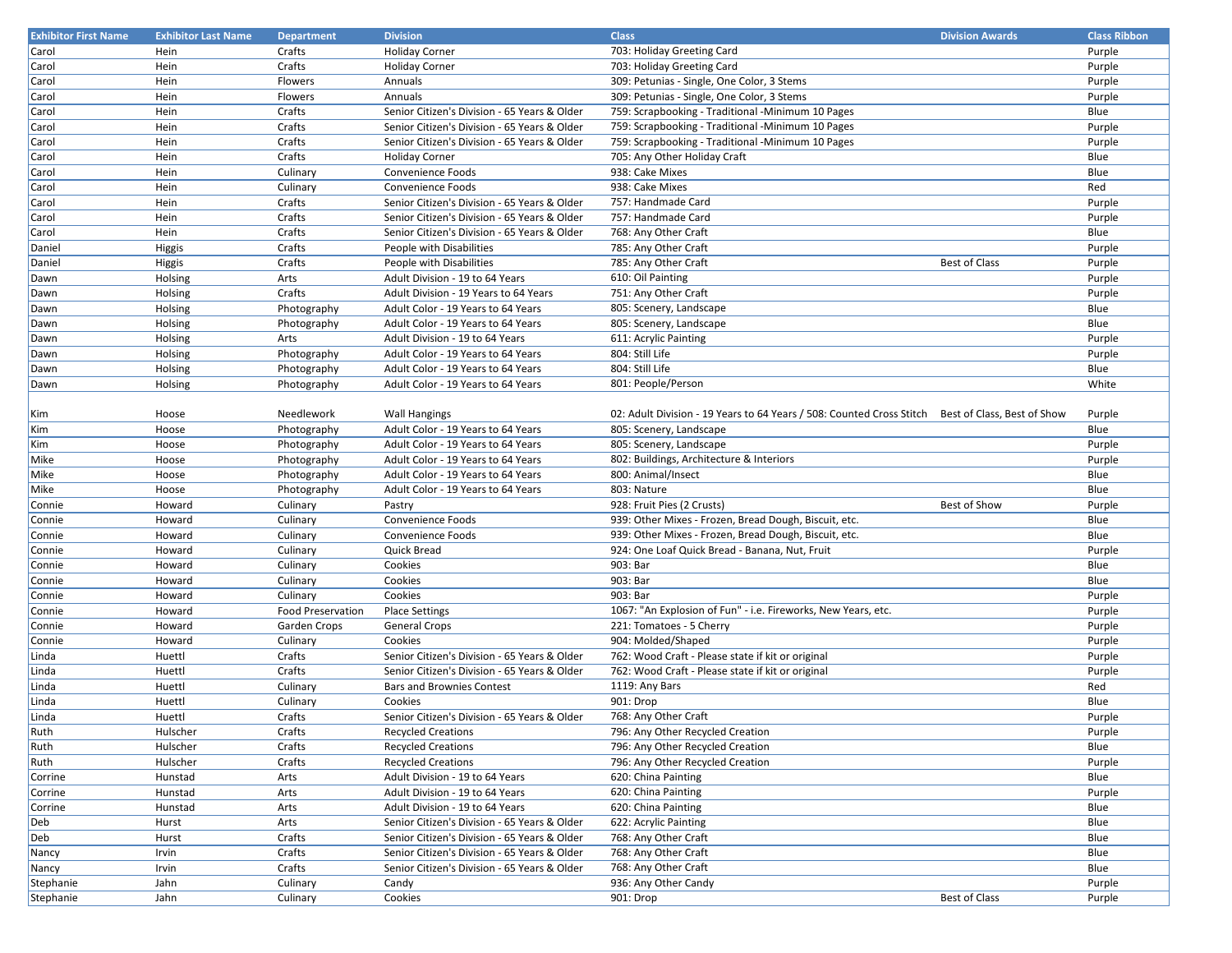| <b>Exhibitor First Name</b> | <b>Exhibitor Last Name</b> | <b>Department</b>        | <b>Division</b>                              | <b>Class</b>                                                                                      | <b>Division Awards</b> | <b>Class Ribbon</b> |
|-----------------------------|----------------------------|--------------------------|----------------------------------------------|---------------------------------------------------------------------------------------------------|------------------------|---------------------|
| Carol                       | Hein                       | Crafts                   | <b>Holiday Corner</b>                        | 703: Holiday Greeting Card                                                                        |                        | Purple              |
| Carol                       | Hein                       | Crafts                   | <b>Holiday Corner</b>                        | 703: Holiday Greeting Card                                                                        |                        | Purple              |
| Carol                       | Hein                       | Flowers                  | Annuals                                      | 309: Petunias - Single, One Color, 3 Stems                                                        |                        | Purple              |
| Carol                       | Hein                       | Flowers                  | Annuals                                      | 309: Petunias - Single, One Color, 3 Stems                                                        |                        | Purple              |
| Carol                       | Hein                       | Crafts                   | Senior Citizen's Division - 65 Years & Older | 759: Scrapbooking - Traditional - Minimum 10 Pages                                                |                        | Blue                |
| Carol                       | Hein                       | Crafts                   | Senior Citizen's Division - 65 Years & Older | 759: Scrapbooking - Traditional -Minimum 10 Pages                                                 |                        | Purple              |
| Carol                       | Hein                       | Crafts                   | Senior Citizen's Division - 65 Years & Older | 759: Scrapbooking - Traditional - Minimum 10 Pages                                                |                        | Purple              |
| Carol                       | Hein                       | Crafts                   | <b>Holiday Corner</b>                        | 705: Any Other Holiday Craft                                                                      |                        | Blue                |
| Carol                       | Hein                       | Culinary                 | Convenience Foods                            | 938: Cake Mixes                                                                                   |                        | Blue                |
| Carol                       | Hein                       | Culinary                 | Convenience Foods                            | 938: Cake Mixes                                                                                   |                        | Red                 |
| Carol                       | Hein                       | Crafts                   | Senior Citizen's Division - 65 Years & Older | 757: Handmade Card                                                                                |                        | Purple              |
| Carol                       | Hein                       | Crafts                   | Senior Citizen's Division - 65 Years & Older | 757: Handmade Card                                                                                |                        | Purple              |
| Carol                       | Hein                       | Crafts                   | Senior Citizen's Division - 65 Years & Older | 768: Any Other Craft                                                                              |                        | Blue                |
| Daniel                      | Higgis                     | Crafts                   | People with Disabilities                     | 785: Any Other Craft                                                                              |                        | Purple              |
| Daniel                      | Higgis                     | Crafts                   | People with Disabilities                     | 785: Any Other Craft                                                                              | <b>Best of Class</b>   | Purple              |
| Dawn                        | Holsing                    | Arts                     | Adult Division - 19 to 64 Years              | 610: Oil Painting                                                                                 |                        | Purple              |
| Dawn                        | Holsing                    | Crafts                   | Adult Division - 19 Years to 64 Years        | 751: Any Other Craft                                                                              |                        | Purple              |
| Dawn                        | Holsing                    | Photography              | Adult Color - 19 Years to 64 Years           | 805: Scenery, Landscape                                                                           |                        | Blue                |
| Dawn                        | Holsing                    | Photography              | Adult Color - 19 Years to 64 Years           | 805: Scenery, Landscape                                                                           |                        | Blue                |
| Dawn                        | Holsing                    | Arts                     | Adult Division - 19 to 64 Years              | 611: Acrylic Painting                                                                             |                        | Purple              |
| Dawn                        | Holsing                    | Photography              | Adult Color - 19 Years to 64 Years           | 804: Still Life                                                                                   |                        | Purple              |
| Dawn                        | Holsing                    | Photography              | Adult Color - 19 Years to 64 Years           | 804: Still Life                                                                                   |                        | Blue                |
| Dawn                        | Holsing                    | Photography              | Adult Color - 19 Years to 64 Years           | 801: People/Person                                                                                |                        | White               |
|                             |                            |                          |                                              |                                                                                                   |                        |                     |
| Kim                         | Hoose                      | Needlework               | <b>Wall Hangings</b>                         | 02: Adult Division - 19 Years to 64 Years / 508: Counted Cross Stitch Best of Class, Best of Show |                        | Purple              |
| Kim                         | Hoose                      | Photography              | Adult Color - 19 Years to 64 Years           | 805: Scenery, Landscape                                                                           |                        | Blue                |
| Kim                         | Hoose                      | Photography              | Adult Color - 19 Years to 64 Years           | 805: Scenery, Landscape                                                                           |                        | Purple              |
| Mike                        | Hoose                      | Photography              | Adult Color - 19 Years to 64 Years           | 802: Buildings, Architecture & Interiors                                                          |                        | Purple              |
| Mike                        | Hoose                      | Photography              | Adult Color - 19 Years to 64 Years           | 800: Animal/Insect                                                                                |                        | Blue                |
| Mike                        | Hoose                      | Photography              | Adult Color - 19 Years to 64 Years           | 803: Nature                                                                                       |                        | Blue                |
| Connie                      | Howard                     | Culinary                 | Pastry                                       | 928: Fruit Pies (2 Crusts)                                                                        | Best of Show           | Purple              |
| Connie                      | Howard                     | Culinary                 | Convenience Foods                            | 939: Other Mixes - Frozen, Bread Dough, Biscuit, etc.                                             |                        | Blue                |
| Connie                      | Howard                     | Culinary                 | Convenience Foods                            | 939: Other Mixes - Frozen, Bread Dough, Biscuit, etc.                                             |                        | Blue                |
| Connie                      | Howard                     | Culinary                 | <b>Quick Bread</b>                           | 924: One Loaf Quick Bread - Banana, Nut, Fruit                                                    |                        | Purple              |
| Connie                      | Howard                     | Culinary                 | Cookies                                      | 903: Bar                                                                                          |                        | Blue                |
| Connie                      | Howard                     | Culinary                 | Cookies                                      | 903: Bar                                                                                          |                        | Blue                |
| Connie                      | Howard                     | Culinary                 | Cookies                                      | 903: Bar                                                                                          |                        | Purple              |
| Connie                      | Howard                     | <b>Food Preservation</b> | <b>Place Settings</b>                        | 1067: "An Explosion of Fun" - i.e. Fireworks, New Years, etc.                                     |                        | Purple              |
| Connie                      | Howard                     | Garden Crops             | <b>General Crops</b>                         | 221: Tomatoes - 5 Cherry                                                                          |                        | Purple              |
| Connie                      | Howard                     | Culinary                 | Cookies                                      | 904: Molded/Shaped                                                                                |                        | Purple              |
| Linda                       | Huettl                     | Crafts                   | Senior Citizen's Division - 65 Years & Older | 762: Wood Craft - Please state if kit or original                                                 |                        | Purple              |
| Linda                       | Huettl                     | Crafts                   | Senior Citizen's Division - 65 Years & Older | 762: Wood Craft - Please state if kit or original                                                 |                        | Purple              |
| Linda                       | Huettl                     | Culinary                 | <b>Bars and Brownies Contest</b>             | 1119: Any Bars                                                                                    |                        | Red                 |
| Linda                       | Huettl                     | Culinary                 | Cookies                                      | 901: Drop                                                                                         |                        | Blue                |
| Linda                       | Huettl                     | Crafts                   | Senior Citizen's Division - 65 Years & Older | 768: Any Other Craft                                                                              |                        | Purple              |
| Ruth                        | Hulscher                   | Crafts                   | <b>Recycled Creations</b>                    | 796: Any Other Recycled Creation                                                                  |                        | Purple              |
| Ruth                        | Hulscher                   | Crafts                   | <b>Recycled Creations</b>                    | 796: Any Other Recycled Creation                                                                  |                        | Blue                |
| Ruth                        | Hulscher                   | Crafts                   | <b>Recycled Creations</b>                    | 796: Any Other Recycled Creation                                                                  |                        | Purple              |
| Corrine                     | Hunstad                    | Arts                     | Adult Division - 19 to 64 Years              | 620: China Painting                                                                               |                        | Blue                |
| Corrine                     | Hunstad                    | Arts                     | Adult Division - 19 to 64 Years              | 620: China Painting                                                                               |                        | Purple              |
| Corrine                     | Hunstad                    | Arts                     | Adult Division - 19 to 64 Years              | 620: China Painting                                                                               |                        | Blue                |
| Deb                         | Hurst                      | Arts                     | Senior Citizen's Division - 65 Years & Older | 622: Acrylic Painting                                                                             |                        | Blue                |
| Deb                         | Hurst                      | Crafts                   | Senior Citizen's Division - 65 Years & Older | 768: Any Other Craft                                                                              |                        | Blue                |
| Nancy                       | Irvin                      | Crafts                   | Senior Citizen's Division - 65 Years & Older | 768: Any Other Craft                                                                              |                        | Blue                |
| Nancy                       | Irvin                      | Crafts                   | Senior Citizen's Division - 65 Years & Older | 768: Any Other Craft                                                                              |                        | Blue                |
| Stephanie                   | Jahn                       | Culinary                 | Candy                                        | 936: Any Other Candy                                                                              |                        | Purple              |
| Stephanie                   | Jahn                       | Culinary                 | Cookies                                      | 901: Drop                                                                                         | <b>Best of Class</b>   | Purple              |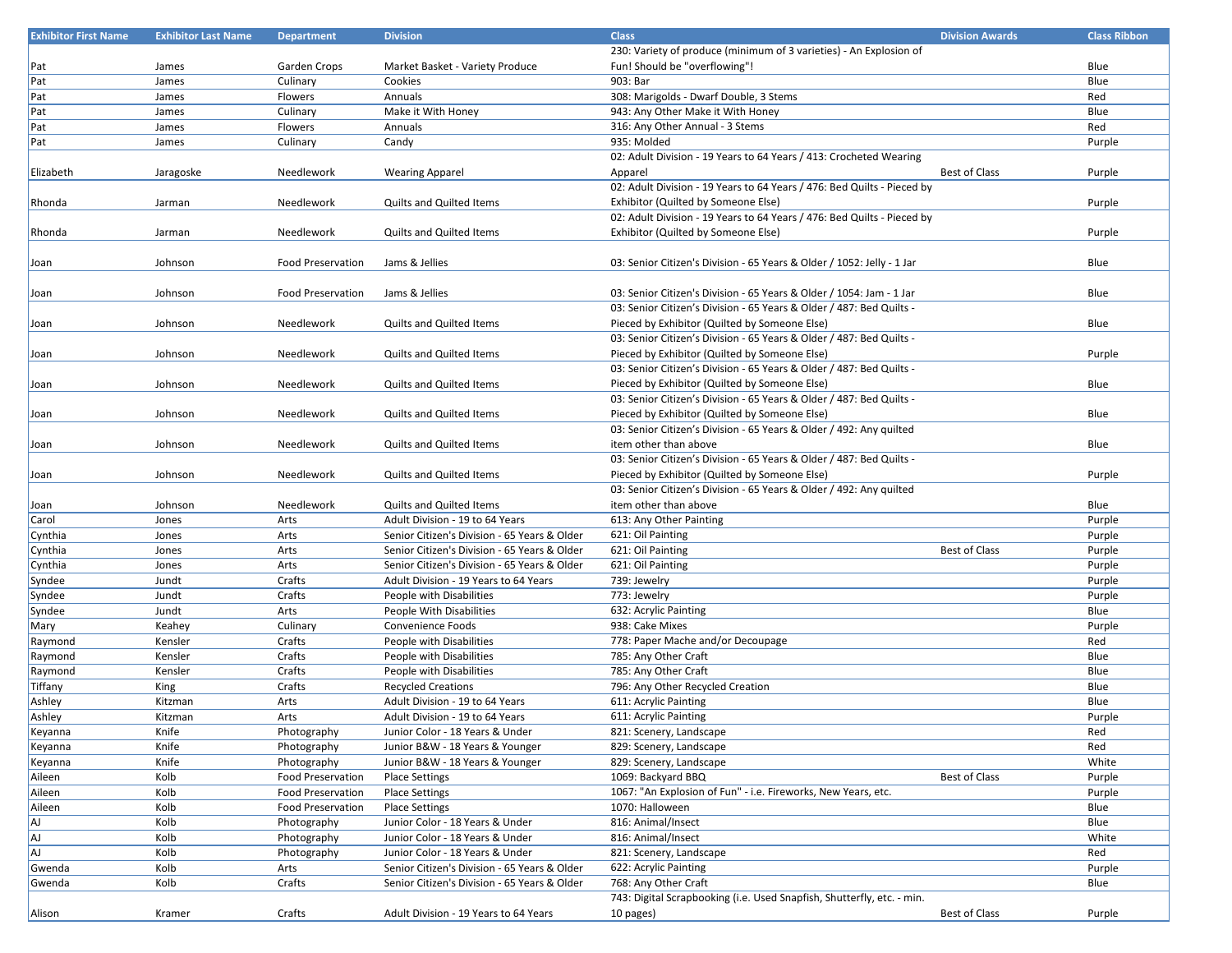| <b>Exhibitor First Name</b> | <b>Exhibitor Last Name</b> | <b>Department</b>        | <b>Division</b>                              | <b>Class</b>                                                            | <b>Division Awards</b> | <b>Class Ribbon</b> |
|-----------------------------|----------------------------|--------------------------|----------------------------------------------|-------------------------------------------------------------------------|------------------------|---------------------|
|                             |                            |                          |                                              | 230: Variety of produce (minimum of 3 varieties) - An Explosion of      |                        |                     |
| Pat                         | James                      | Garden Crops             | Market Basket - Variety Produce              | Fun! Should be "overflowing"!                                           |                        | Blue                |
| Pat                         | James                      | Culinary                 | Cookies                                      | 903: Bar                                                                |                        | Blue                |
| Pat                         | James                      | Flowers                  | Annuals                                      | 308: Marigolds - Dwarf Double, 3 Stems                                  |                        | Red                 |
| Pat                         | James                      | Culinary                 | Make it With Honey                           | 943: Any Other Make it With Honey                                       |                        | Blue                |
| Pat                         | James                      | Flowers                  | Annuals                                      | 316: Any Other Annual - 3 Stems                                         |                        | Red                 |
| Pat                         | James                      | Culinary                 | Candy                                        | 935: Molded                                                             |                        | Purple              |
|                             |                            |                          |                                              | 02: Adult Division - 19 Years to 64 Years / 413: Crocheted Wearing      |                        |                     |
| Elizabeth                   | Jaragoske                  | Needlework               |                                              | Apparel                                                                 | <b>Best of Class</b>   | Purple              |
|                             |                            |                          | <b>Wearing Apparel</b>                       | 02: Adult Division - 19 Years to 64 Years / 476: Bed Quilts - Pieced by |                        |                     |
|                             |                            |                          |                                              |                                                                         |                        |                     |
| <b>Rhonda</b>               | Jarman                     | Needlework               | <b>Quilts and Quilted Items</b>              | Exhibitor (Quilted by Someone Else)                                     |                        | Purple              |
|                             |                            |                          |                                              | 02: Adult Division - 19 Years to 64 Years / 476: Bed Quilts - Pieced by |                        |                     |
| Rhonda                      | Jarman                     | Needlework               | Quilts and Quilted Items                     | Exhibitor (Quilted by Someone Else)                                     |                        | Purple              |
|                             |                            |                          |                                              |                                                                         |                        |                     |
| Joan                        | Johnson                    | <b>Food Preservation</b> | Jams & Jellies                               | 03: Senior Citizen's Division - 65 Years & Older / 1052: Jelly - 1 Jar  |                        | Blue                |
|                             |                            |                          |                                              |                                                                         |                        |                     |
| Joan                        | Johnson                    | <b>Food Preservation</b> | Jams & Jellies                               | 03: Senior Citizen's Division - 65 Years & Older / 1054: Jam - 1 Jar    |                        | Blue                |
|                             |                            |                          |                                              | 03: Senior Citizen's Division - 65 Years & Older / 487: Bed Quilts -    |                        |                     |
| Joan                        | Johnson                    | Needlework               | Quilts and Quilted Items                     | Pieced by Exhibitor (Quilted by Someone Else)                           |                        | Blue                |
|                             |                            |                          |                                              | 03: Senior Citizen's Division - 65 Years & Older / 487: Bed Quilts -    |                        |                     |
| Joan                        | Johnson                    | Needlework               | Quilts and Quilted Items                     | Pieced by Exhibitor (Quilted by Someone Else)                           |                        | Purple              |
|                             |                            |                          |                                              | 03: Senior Citizen's Division - 65 Years & Older / 487: Bed Quilts -    |                        |                     |
| Joan                        | Johnson                    | Needlework               | Quilts and Quilted Items                     | Pieced by Exhibitor (Quilted by Someone Else)                           |                        | Blue                |
|                             |                            |                          |                                              | 03: Senior Citizen's Division - 65 Years & Older / 487: Bed Quilts -    |                        |                     |
| Joan                        | Johnson                    | Needlework               | <b>Quilts and Quilted Items</b>              | Pieced by Exhibitor (Quilted by Someone Else)                           |                        | Blue                |
|                             |                            |                          |                                              | 03: Senior Citizen's Division - 65 Years & Older / 492: Any quilted     |                        |                     |
| Joan                        | Johnson                    | Needlework               | Quilts and Quilted Items                     | item other than above                                                   |                        | Blue                |
|                             |                            |                          |                                              | 03: Senior Citizen's Division - 65 Years & Older / 487: Bed Quilts -    |                        |                     |
| Joan                        | Johnson                    | Needlework               | <b>Quilts and Quilted Items</b>              | Pieced by Exhibitor (Quilted by Someone Else)                           |                        | Purple              |
|                             |                            |                          |                                              | 03: Senior Citizen's Division - 65 Years & Older / 492: Any quilted     |                        |                     |
|                             |                            | Needlework               |                                              |                                                                         |                        |                     |
| Joan                        | Johnson                    |                          | Quilts and Quilted Items                     | item other than above                                                   |                        | Blue                |
| Carol                       | Jones                      | Arts                     | Adult Division - 19 to 64 Years              | 613: Any Other Painting                                                 |                        | Purple              |
| Cynthia                     | Jones                      | Arts                     | Senior Citizen's Division - 65 Years & Older | 621: Oil Painting                                                       |                        | Purple              |
| Cynthia                     | Jones                      | Arts                     | Senior Citizen's Division - 65 Years & Older | 621: Oil Painting                                                       | <b>Best of Class</b>   | Purple              |
| Cynthia                     | Jones                      | Arts                     | Senior Citizen's Division - 65 Years & Older | 621: Oil Painting                                                       |                        | Purple              |
| Syndee                      | Jundt                      | Crafts                   | Adult Division - 19 Years to 64 Years        | 739: Jewelry                                                            |                        | Purple              |
| Syndee                      | Jundt                      | Crafts                   | People with Disabilities                     | 773: Jewelry                                                            |                        | Purple              |
| Syndee                      | Jundt                      | Arts                     | People With Disabilities                     | 632: Acrylic Painting                                                   |                        | Blue                |
| Mary                        | Keahey                     | Culinary                 | Convenience Foods                            | 938: Cake Mixes                                                         |                        | Purple              |
| Raymond                     | Kensler                    | Crafts                   | People with Disabilities                     | 778: Paper Mache and/or Decoupage                                       |                        | Red                 |
| Raymond                     | Kensler                    | Crafts                   | People with Disabilities                     | 785: Any Other Craft                                                    |                        | Blue                |
| Raymond                     | Kensler                    | Crafts                   | People with Disabilities                     | 785: Any Other Craft                                                    |                        | Blue                |
| Tiffany                     | King                       | Crafts                   | <b>Recycled Creations</b>                    | 796: Any Other Recycled Creation                                        |                        | Blue                |
| Ashley                      | Kitzman                    | Arts                     | Adult Division - 19 to 64 Years              | 611: Acrylic Painting                                                   |                        | Blue                |
| Ashley                      | Kitzman                    | Arts                     | Adult Division - 19 to 64 Years              | 611: Acrylic Painting                                                   |                        | Purple              |
| Keyanna                     | Knife                      | Photography              | Junior Color - 18 Years & Under              | 821: Scenery, Landscape                                                 |                        | Red                 |
| Keyanna                     | Knife                      | Photography              | Junior B&W - 18 Years & Younger              | 829: Scenery, Landscape                                                 |                        | Red                 |
| Keyanna                     | Knife                      | Photography              | Junior B&W - 18 Years & Younger              | 829: Scenery, Landscape                                                 |                        | White               |
| Aileen                      | Kolb                       | <b>Food Preservation</b> | <b>Place Settings</b>                        | 1069: Backyard BBQ                                                      | Best of Class          | Purple              |
| Aileen                      | Kolb                       | <b>Food Preservation</b> | <b>Place Settings</b>                        | 1067: "An Explosion of Fun" - i.e. Fireworks, New Years, etc.           |                        | Purple              |
| Aileen                      | Kolb                       | <b>Food Preservation</b> | <b>Place Settings</b>                        | 1070: Halloween                                                         |                        | Blue                |
| AJ                          | Kolb                       | Photography              | Junior Color - 18 Years & Under              | 816: Animal/Insect                                                      |                        | Blue                |
| AJ                          | Kolb                       | Photography              | Junior Color - 18 Years & Under              | 816: Animal/Insect                                                      |                        | White               |
|                             |                            |                          |                                              |                                                                         |                        |                     |
| AJ                          | Kolb                       | Photography              | Junior Color - 18 Years & Under              | 821: Scenery, Landscape                                                 |                        | Red                 |
| Gwenda                      | Kolb                       | Arts                     | Senior Citizen's Division - 65 Years & Older | 622: Acrylic Painting                                                   |                        | Purple              |
| Gwenda                      | Kolb                       | Crafts                   | Senior Citizen's Division - 65 Years & Older | 768: Any Other Craft                                                    |                        | Blue                |
|                             |                            |                          |                                              | 743: Digital Scrapbooking (i.e. Used Snapfish, Shutterfly, etc. - min.  |                        |                     |
| Alison                      | Kramer                     | Crafts                   | Adult Division - 19 Years to 64 Years        | 10 pages)                                                               | Best of Class          | Purple              |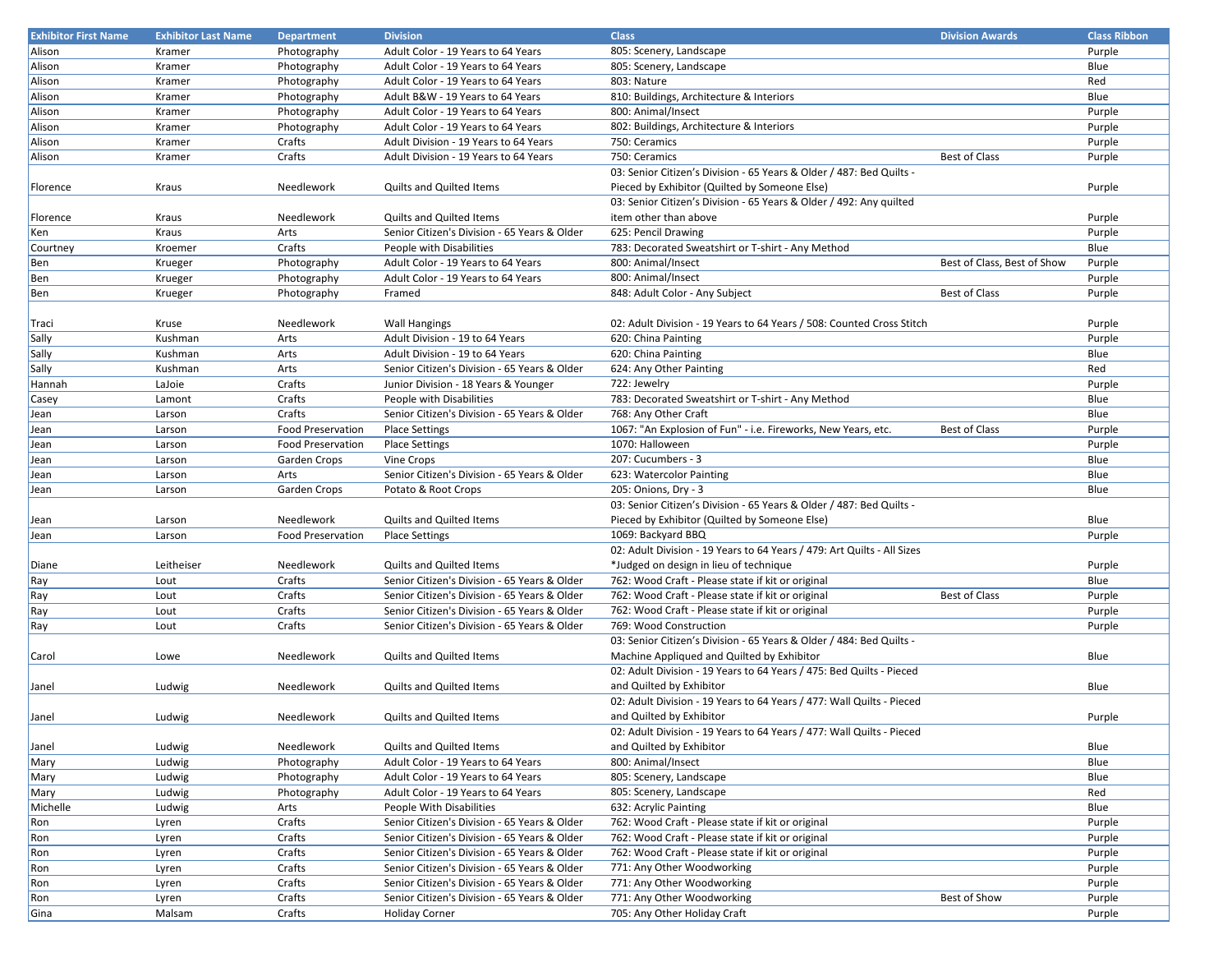| <b>Exhibitor First Name</b> | <b>Exhibitor Last Name</b> | <b>Department</b>        | <b>Division</b>                                         | <b>Class</b>                                                            | <b>Division Awards</b>      | <b>Class Ribbon</b> |
|-----------------------------|----------------------------|--------------------------|---------------------------------------------------------|-------------------------------------------------------------------------|-----------------------------|---------------------|
| Alison                      | Kramer                     | Photography              | Adult Color - 19 Years to 64 Years                      | 805: Scenery, Landscape                                                 |                             | Purple              |
| Alison                      | Kramer                     | Photography              | Adult Color - 19 Years to 64 Years                      | 805: Scenery, Landscape                                                 |                             | Blue                |
| Alison                      | Kramer                     | Photography              | Adult Color - 19 Years to 64 Years                      | 803: Nature                                                             |                             | Red                 |
| Alison                      | Kramer                     | Photography              | Adult B&W - 19 Years to 64 Years                        | 810: Buildings, Architecture & Interiors                                |                             | Blue                |
| Alison                      | Kramer                     | Photography              | Adult Color - 19 Years to 64 Years                      | 800: Animal/Insect                                                      |                             | Purple              |
| Alison                      | Kramer                     | Photography              | Adult Color - 19 Years to 64 Years                      | 802: Buildings, Architecture & Interiors                                |                             | Purple              |
| Alison                      | Kramer                     | Crafts                   | Adult Division - 19 Years to 64 Years                   | 750: Ceramics                                                           |                             | Purple              |
| Alison                      | Kramer                     | Crafts                   | Adult Division - 19 Years to 64 Years                   | 750: Ceramics                                                           | <b>Best of Class</b>        | Purple              |
|                             |                            |                          |                                                         | 03: Senior Citizen's Division - 65 Years & Older / 487: Bed Quilts -    |                             |                     |
| Florence                    | Kraus                      | Needlework               | <b>Quilts and Quilted Items</b>                         | Pieced by Exhibitor (Quilted by Someone Else)                           |                             | Purple              |
|                             |                            |                          |                                                         | 03: Senior Citizen's Division - 65 Years & Older / 492: Any quilted     |                             |                     |
| Florence                    | Kraus                      | Needlework               | <b>Quilts and Quilted Items</b>                         | item other than above                                                   |                             | Purple              |
| Ken                         | Kraus                      | Arts                     | Senior Citizen's Division - 65 Years & Older            | 625: Pencil Drawing                                                     |                             | Purple              |
| Courtney                    | Kroemer                    | Crafts                   | People with Disabilities                                | 783: Decorated Sweatshirt or T-shirt - Any Method                       |                             | Blue                |
| Ben                         | Krueger                    | Photography              | Adult Color - 19 Years to 64 Years                      | 800: Animal/Insect                                                      | Best of Class, Best of Show | Purple              |
| Ben                         | Krueger                    | Photography              | Adult Color - 19 Years to 64 Years                      | 800: Animal/Insect                                                      |                             | Purple              |
|                             |                            |                          |                                                         |                                                                         | <b>Best of Class</b>        |                     |
| Ben                         | Krueger                    | Photography              | Framed                                                  | 848: Adult Color - Any Subject                                          |                             | Purple              |
|                             |                            | Needlework               |                                                         | 02: Adult Division - 19 Years to 64 Years / 508: Counted Cross Stitch   |                             |                     |
| Traci                       | Kruse<br>Kushman           |                          | <b>Wall Hangings</b><br>Adult Division - 19 to 64 Years | 620: China Painting                                                     |                             | Purple              |
| Sally                       |                            | Arts                     | Adult Division - 19 to 64 Years                         | 620: China Painting                                                     |                             | Purple              |
| Sally                       | Kushman                    | Arts                     |                                                         |                                                                         |                             | Blue                |
| Sally                       | Kushman                    | Arts                     | Senior Citizen's Division - 65 Years & Older            | 624: Any Other Painting                                                 |                             | Red                 |
| Hannah                      | LaJoie                     | Crafts                   | Junior Division - 18 Years & Younger                    | 722: Jewelry                                                            |                             | Purple              |
| Casey                       | Lamont                     | Crafts                   | People with Disabilities                                | 783: Decorated Sweatshirt or T-shirt - Any Method                       |                             | Blue                |
| Jean                        | Larson                     | Crafts                   | Senior Citizen's Division - 65 Years & Older            | 768: Any Other Craft                                                    |                             | Blue                |
| Jean                        | Larson                     | <b>Food Preservation</b> | <b>Place Settings</b>                                   | 1067: "An Explosion of Fun" - i.e. Fireworks, New Years, etc.           | <b>Best of Class</b>        | Purple              |
| Jean                        | Larson                     | <b>Food Preservation</b> | <b>Place Settings</b>                                   | 1070: Halloween                                                         |                             | Purple              |
| Jean                        | Larson                     | Garden Crops             | Vine Crops                                              | 207: Cucumbers - 3                                                      |                             | Blue                |
| Jean                        | Larson                     | Arts                     | Senior Citizen's Division - 65 Years & Older            | 623: Watercolor Painting                                                |                             | Blue                |
| Jean                        | Larson                     | Garden Crops             | Potato & Root Crops                                     | 205: Onions, Dry - 3                                                    |                             | Blue                |
|                             |                            |                          |                                                         | 03: Senior Citizen's Division - 65 Years & Older / 487: Bed Quilts -    |                             |                     |
| Jean                        | Larson                     | Needlework               | Quilts and Quilted Items                                | Pieced by Exhibitor (Quilted by Someone Else)                           |                             | Blue                |
| Jean                        | Larson                     | <b>Food Preservation</b> | <b>Place Settings</b>                                   | 1069: Backyard BBQ                                                      |                             | Purple              |
|                             |                            |                          |                                                         | 02: Adult Division - 19 Years to 64 Years / 479: Art Quilts - All Sizes |                             |                     |
| Diane                       | Leitheiser                 | Needlework               | Quilts and Quilted Items                                | *Judged on design in lieu of technique                                  |                             | Purple              |
| Ray                         | Lout                       | Crafts                   | Senior Citizen's Division - 65 Years & Older            | 762: Wood Craft - Please state if kit or original                       |                             | Blue                |
| Ray                         | Lout                       | Crafts                   | Senior Citizen's Division - 65 Years & Older            | 762: Wood Craft - Please state if kit or original                       | <b>Best of Class</b>        | Purple              |
| Ray                         | Lout                       | Crafts                   | Senior Citizen's Division - 65 Years & Older            | 762: Wood Craft - Please state if kit or original                       |                             | Purple              |
| Ray                         | Lout                       | Crafts                   | Senior Citizen's Division - 65 Years & Older            | 769: Wood Construction                                                  |                             | Purple              |
|                             |                            |                          |                                                         | 03: Senior Citizen's Division - 65 Years & Older / 484: Bed Quilts -    |                             |                     |
| Carol                       | Lowe                       | Needlework               | Quilts and Quilted Items                                | Machine Appliqued and Quilted by Exhibitor                              |                             | Blue                |
|                             |                            |                          |                                                         | 02: Adult Division - 19 Years to 64 Years / 475: Bed Quilts - Pieced    |                             |                     |
| Janel                       | Ludwig                     | Needlework               | Quilts and Quilted Items                                | and Quilted by Exhibitor                                                |                             | Blue                |
|                             |                            |                          |                                                         | 02: Adult Division - 19 Years to 64 Years / 477: Wall Quilts - Pieced   |                             |                     |
| Janel                       | Ludwig                     | Needlework               | <b>Quilts and Quilted Items</b>                         | and Quilted by Exhibitor                                                |                             | Purple              |
|                             |                            |                          |                                                         | 02: Adult Division - 19 Years to 64 Years / 477: Wall Quilts - Pieced   |                             |                     |
| Janel                       | Ludwig                     | Needlework               | Quilts and Quilted Items                                | and Quilted by Exhibitor                                                |                             | Blue                |
| Mary                        | Ludwig                     | Photography              | Adult Color - 19 Years to 64 Years                      | 800: Animal/Insect                                                      |                             | Blue                |
| Mary                        | Ludwig                     | Photography              | Adult Color - 19 Years to 64 Years                      | 805: Scenery, Landscape                                                 |                             | Blue                |
| Mary                        | Ludwig                     | Photography              | Adult Color - 19 Years to 64 Years                      | 805: Scenery, Landscape                                                 |                             | Red                 |
| Michelle                    | Ludwig                     | Arts                     | People With Disabilities                                | 632: Acrylic Painting                                                   |                             | Blue                |
|                             |                            | Crafts                   |                                                         | 762: Wood Craft - Please state if kit or original                       |                             |                     |
| Ron                         | Lyren                      |                          | Senior Citizen's Division - 65 Years & Older            |                                                                         |                             | Purple              |
| Ron                         | Lyren                      | Crafts                   | Senior Citizen's Division - 65 Years & Older            | 762: Wood Craft - Please state if kit or original                       |                             | Purple              |
| Ron                         | Lyren                      | Crafts                   | Senior Citizen's Division - 65 Years & Older            | 762: Wood Craft - Please state if kit or original                       |                             | Purple              |
| Ron                         | Lyren                      | Crafts                   | Senior Citizen's Division - 65 Years & Older            | 771: Any Other Woodworking                                              |                             | Purple              |
| Ron                         | Lyren                      | Crafts                   | Senior Citizen's Division - 65 Years & Older            | 771: Any Other Woodworking                                              |                             | Purple              |
| Ron                         | Lyren                      | Crafts                   | Senior Citizen's Division - 65 Years & Older            | 771: Any Other Woodworking                                              | Best of Show                | Purple              |
| Gina                        | Malsam                     | Crafts                   | <b>Holiday Corner</b>                                   | 705: Any Other Holiday Craft                                            |                             | Purple              |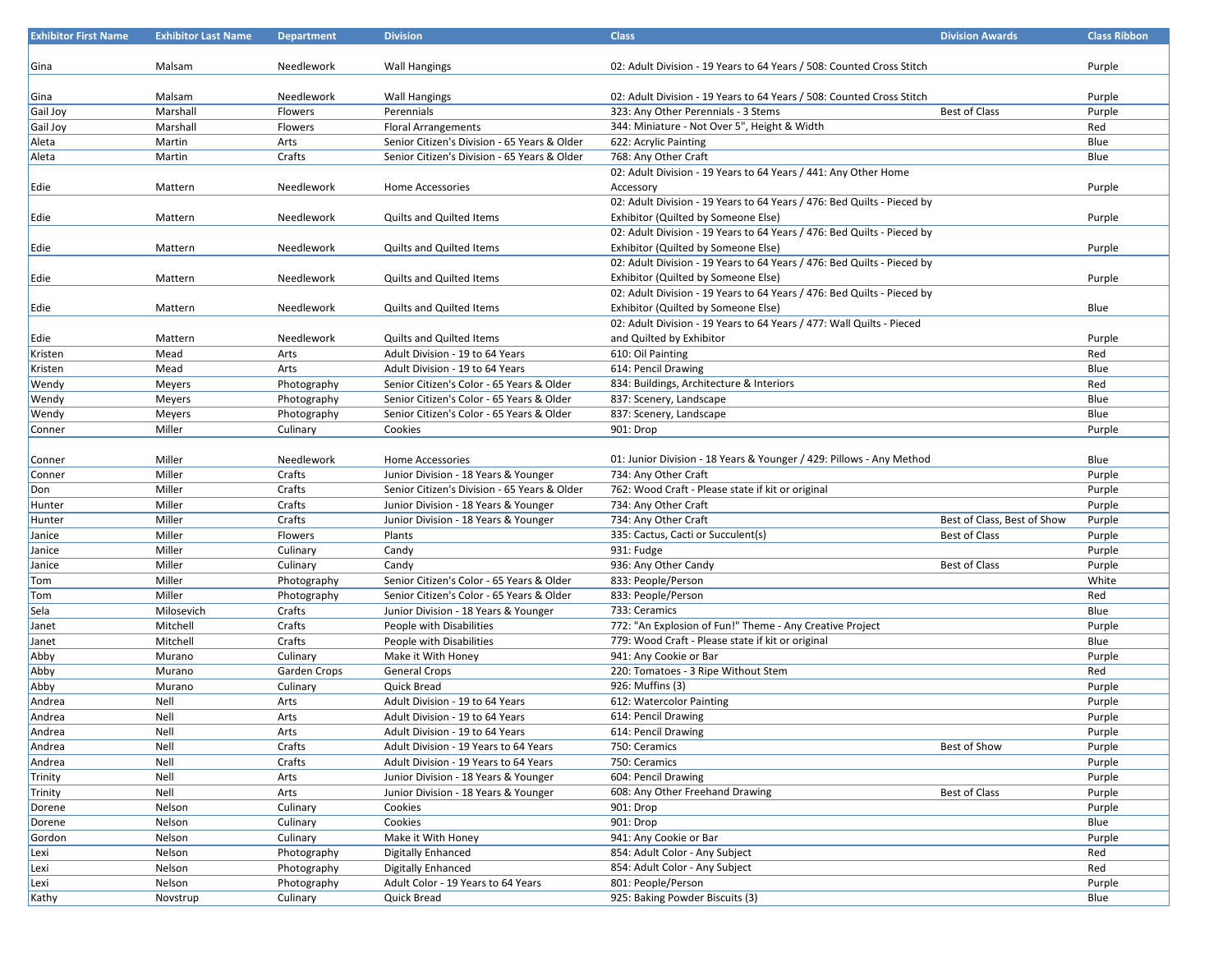| <b>Exhibitor First Name</b> | <b>Exhibitor Last Name</b> | <b>Department</b> | <b>Division</b>                              | <b>Class</b>                                                            | <b>Division Awards</b>      | <b>Class Ribbon</b> |
|-----------------------------|----------------------------|-------------------|----------------------------------------------|-------------------------------------------------------------------------|-----------------------------|---------------------|
|                             |                            |                   |                                              |                                                                         |                             |                     |
| Gina                        | Malsam                     | Needlework        | <b>Wall Hangings</b>                         | 02: Adult Division - 19 Years to 64 Years / 508: Counted Cross Stitch   |                             | Purple              |
|                             |                            |                   |                                              |                                                                         |                             |                     |
| Gina                        | Malsam                     | Needlework        | <b>Wall Hangings</b>                         | 02: Adult Division - 19 Years to 64 Years / 508: Counted Cross Stitch   |                             | Purple              |
| Gail Joy                    | Marshall                   | Flowers           | Perennials                                   | 323: Any Other Perennials - 3 Stems                                     | <b>Best of Class</b>        | Purple              |
| Gail Joy                    | Marshall                   | Flowers           | <b>Floral Arrangements</b>                   | 344: Miniature - Not Over 5", Height & Width                            |                             | Red                 |
| Aleta                       | Martin                     | Arts              | Senior Citizen's Division - 65 Years & Older | 622: Acrylic Painting                                                   |                             | Blue                |
| Aleta                       | Martin                     | Crafts            | Senior Citizen's Division - 65 Years & Older | 768: Any Other Craft                                                    |                             | Blue                |
|                             |                            |                   |                                              | 02: Adult Division - 19 Years to 64 Years / 441: Any Other Home         |                             |                     |
| Edie                        | Mattern                    | Needlework        | Home Accessories                             | Accessory                                                               |                             | Purple              |
|                             |                            |                   |                                              | 02: Adult Division - 19 Years to 64 Years / 476: Bed Quilts - Pieced by |                             |                     |
| Edie                        | Mattern                    | Needlework        | <b>Quilts and Quilted Items</b>              | Exhibitor (Quilted by Someone Else)                                     |                             | Purple              |
|                             |                            |                   |                                              | 02: Adult Division - 19 Years to 64 Years / 476: Bed Quilts - Pieced by |                             |                     |
| Edie                        | Mattern                    | Needlework        | <b>Quilts and Quilted Items</b>              | Exhibitor (Quilted by Someone Else)                                     |                             | Purple              |
|                             |                            |                   |                                              | 02: Adult Division - 19 Years to 64 Years / 476: Bed Quilts - Pieced by |                             |                     |
| Edie                        | Mattern                    | Needlework        | <b>Quilts and Quilted Items</b>              | Exhibitor (Quilted by Someone Else)                                     |                             | Purple              |
|                             |                            |                   |                                              | 02: Adult Division - 19 Years to 64 Years / 476: Bed Quilts - Pieced by |                             |                     |
| Edie                        | Mattern                    | Needlework        | <b>Quilts and Quilted Items</b>              | Exhibitor (Quilted by Someone Else)                                     |                             | Blue                |
|                             |                            |                   |                                              | 02: Adult Division - 19 Years to 64 Years / 477: Wall Quilts - Pieced   |                             |                     |
| Edie                        | Mattern                    | Needlework        | <b>Quilts and Quilted Items</b>              | and Quilted by Exhibitor                                                |                             | Purple              |
| Kristen                     | Mead                       | Arts              | Adult Division - 19 to 64 Years              | 610: Oil Painting                                                       |                             | Red                 |
| Kristen                     | Mead                       | Arts              | Adult Division - 19 to 64 Years              | 614: Pencil Drawing                                                     |                             | Blue                |
| Wendy                       | Meyers                     | Photography       | Senior Citizen's Color - 65 Years & Older    | 834: Buildings, Architecture & Interiors                                |                             | Red                 |
| Wendy                       | Meyers                     | Photography       | Senior Citizen's Color - 65 Years & Older    | 837: Scenery, Landscape                                                 |                             | Blue                |
| Wendy                       | Meyers                     | Photography       | Senior Citizen's Color - 65 Years & Older    | 837: Scenery, Landscape                                                 |                             | Blue                |
| Conner                      | Miller                     | Culinary          | Cookies                                      | 901: Drop                                                               |                             | Purple              |
|                             |                            |                   |                                              |                                                                         |                             |                     |
| Conner                      | Miller                     | Needlework        | <b>Home Accessories</b>                      | 01: Junior Division - 18 Years & Younger / 429: Pillows - Any Method    |                             | Blue                |
| Conner                      | Miller                     | Crafts            | Junior Division - 18 Years & Younger         | 734: Any Other Craft                                                    |                             | Purple              |
| Don                         | Miller                     | Crafts            | Senior Citizen's Division - 65 Years & Older | 762: Wood Craft - Please state if kit or original                       |                             | Purple              |
| Hunter                      | Miller                     | Crafts            | Junior Division - 18 Years & Younger         | 734: Any Other Craft                                                    |                             | Purple              |
| Hunter                      | Miller                     | Crafts            | Junior Division - 18 Years & Younger         | 734: Any Other Craft                                                    | Best of Class, Best of Show | Purple              |
| Janice                      | Miller                     | Flowers           | Plants                                       | 335: Cactus, Cacti or Succulent(s)                                      | <b>Best of Class</b>        | Purple              |
| Janice                      | Miller                     | Culinary          | Candy                                        | 931: Fudge                                                              |                             | Purple              |
| Janice                      | Miller                     | Culinary          | Candy                                        | 936: Any Other Candy                                                    | <b>Best of Class</b>        | Purple              |
| Tom                         | Miller                     | Photography       | Senior Citizen's Color - 65 Years & Older    | 833: People/Person                                                      |                             | White               |
| Tom                         | Miller                     | Photography       | Senior Citizen's Color - 65 Years & Older    | 833: People/Person                                                      |                             | Red                 |
| Sela                        | Milosevich                 | Crafts            | Junior Division - 18 Years & Younger         | 733: Ceramics                                                           |                             | Blue                |
| Janet                       | Mitchell                   | Crafts            | People with Disabilities                     | 772: "An Explosion of Fun!" Theme - Any Creative Project                |                             | Purple              |
| Janet                       | Mitchell                   | Crafts            | People with Disabilities                     | 779: Wood Craft - Please state if kit or original                       |                             | Blue                |
| Abby                        | Murano                     | Culinary          | Make it With Honey                           | 941: Any Cookie or Bar                                                  |                             | Purple              |
| Abby                        | Murano                     | Garden Crops      | <b>General Crops</b>                         | 220: Tomatoes - 3 Ripe Without Stem                                     |                             | Red                 |
| Abby                        | Murano                     | Culinary          | Quick Bread                                  | 926: Muffins (3)                                                        |                             | Purple              |
| Andrea                      | Nell                       | Arts              | Adult Division - 19 to 64 Years              | 612: Watercolor Painting                                                |                             | Purple              |
| Andrea                      | Nell                       | Arts              | Adult Division - 19 to 64 Years              | 614: Pencil Drawing                                                     |                             | Purple              |
| Andrea                      | Nell                       | Arts              | Adult Division - 19 to 64 Years              | 614: Pencil Drawing                                                     |                             | Purple              |
| Andrea                      | Nell                       | Crafts            | Adult Division - 19 Years to 64 Years        | 750: Ceramics                                                           | Best of Show                | Purple              |
| Andrea                      | Nell                       | Crafts            | Adult Division - 19 Years to 64 Years        | 750: Ceramics                                                           |                             | Purple              |
| Trinity                     | Nell                       | Arts              | Junior Division - 18 Years & Younger         | 604: Pencil Drawing                                                     |                             | Purple              |
| Trinity                     | Nell                       | Arts              | Junior Division - 18 Years & Younger         | 608: Any Other Freehand Drawing                                         | <b>Best of Class</b>        | Purple              |
| Dorene                      | Nelson                     | Culinary          | Cookies                                      | 901: Drop                                                               |                             | Purple              |
| Dorene                      | Nelson                     | Culinary          | Cookies                                      | 901: Drop                                                               |                             | Blue                |
| Gordon                      | Nelson                     | Culinary          | Make it With Honey                           | 941: Any Cookie or Bar                                                  |                             | Purple              |
| Lexi                        | Nelson                     | Photography       | <b>Digitally Enhanced</b>                    | 854: Adult Color - Any Subject                                          |                             | Red                 |
| Lexi                        | Nelson                     | Photography       | <b>Digitally Enhanced</b>                    | 854: Adult Color - Any Subject                                          |                             | Red                 |
| Lexi                        | Nelson                     | Photography       | Adult Color - 19 Years to 64 Years           | 801: People/Person                                                      |                             | Purple              |
| Kathy                       | Novstrup                   | Culinary          | Quick Bread                                  | 925: Baking Powder Biscuits (3)                                         |                             | Blue                |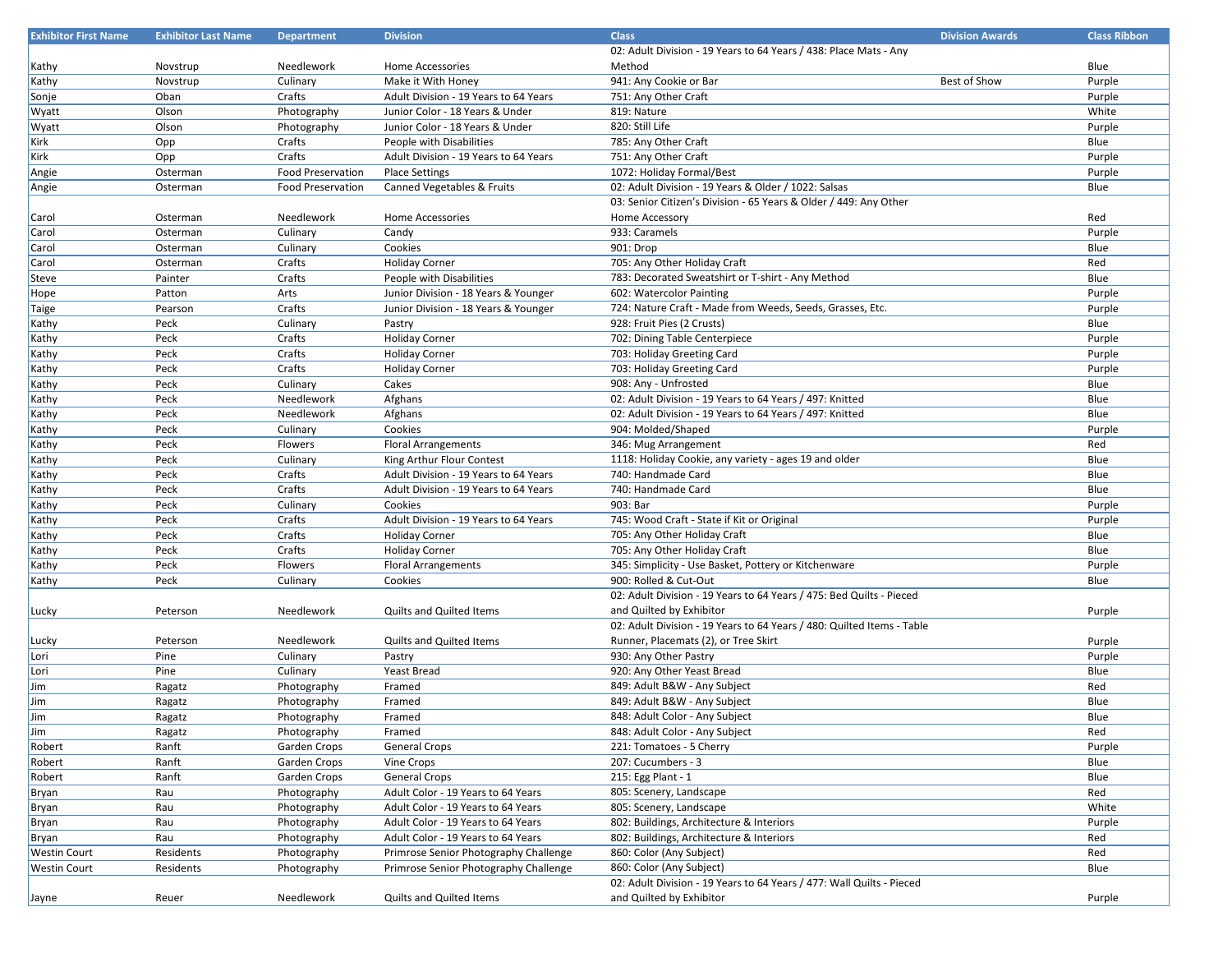| <b>Exhibitor First Name</b> | <b>Exhibitor Last Name</b> | <b>Department</b>        | <b>Division</b>                       | <b>Class</b>                                                           | <b>Division Awards</b> | <b>Class Ribbon</b> |
|-----------------------------|----------------------------|--------------------------|---------------------------------------|------------------------------------------------------------------------|------------------------|---------------------|
|                             |                            |                          |                                       | 02: Adult Division - 19 Years to 64 Years / 438: Place Mats - Any      |                        |                     |
| Kathy                       | Novstrup                   | Needlework               | Home Accessories                      | Method                                                                 |                        | Blue                |
| Kathy                       | Novstrup                   | Culinary                 | Make it With Honey                    | 941: Any Cookie or Bar                                                 | Best of Show           | Purple              |
| Sonje                       | Oban                       | Crafts                   | Adult Division - 19 Years to 64 Years | 751: Any Other Craft                                                   |                        | Purple              |
| Wyatt                       | Olson                      | Photography              | Junior Color - 18 Years & Under       | 819: Nature                                                            |                        | White               |
| Wyatt                       | Olson                      | Photography              | Junior Color - 18 Years & Under       | 820: Still Life                                                        |                        | Purple              |
| Kirk                        | Opp                        | Crafts                   | People with Disabilities              | 785: Any Other Craft                                                   |                        | Blue                |
| Kirk                        | Opp                        | Crafts                   | Adult Division - 19 Years to 64 Years | 751: Any Other Craft                                                   |                        | Purple              |
| Angie                       | Osterman                   | <b>Food Preservation</b> | <b>Place Settings</b>                 | 1072: Holiday Formal/Best                                              |                        | Purple              |
| Angie                       | Osterman                   | <b>Food Preservation</b> | Canned Vegetables & Fruits            | 02: Adult Division - 19 Years & Older / 1022: Salsas                   |                        | Blue                |
|                             |                            |                          |                                       | 03: Senior Citizen's Division - 65 Years & Older / 449: Any Other      |                        |                     |
| Carol                       | Osterman                   | Needlework               | Home Accessories                      | Home Accessory                                                         |                        | Red                 |
| Carol                       | Osterman                   | Culinary                 | Candy                                 | 933: Caramels                                                          |                        | Purple              |
| Carol                       | Osterman                   | Culinary                 | Cookies                               | 901: Drop                                                              |                        | Blue                |
| Carol                       | Osterman                   | Crafts                   | <b>Holiday Corner</b>                 | 705: Any Other Holiday Craft                                           |                        | Red                 |
| Steve                       | Painter                    | Crafts                   | People with Disabilities              | 783: Decorated Sweatshirt or T-shirt - Any Method                      |                        | Blue                |
| Hope                        | Patton                     | Arts                     | Junior Division - 18 Years & Younger  | 602: Watercolor Painting                                               |                        | Purple              |
| Taige                       | Pearson                    | Crafts                   | Junior Division - 18 Years & Younger  | 724: Nature Craft - Made from Weeds, Seeds, Grasses, Etc.              |                        | Purple              |
| Kathy                       | Peck                       | Culinary                 | Pastry                                | 928: Fruit Pies (2 Crusts)                                             |                        | Blue                |
| Kathy                       | Peck                       | Crafts                   | <b>Holiday Corner</b>                 | 702: Dining Table Centerpiece                                          |                        | Purple              |
| Kathy                       | Peck                       | Crafts                   | <b>Holiday Corner</b>                 | 703: Holiday Greeting Card                                             |                        | Purple              |
| Kathy                       | Peck                       | Crafts                   | <b>Holiday Corner</b>                 | 703: Holiday Greeting Card                                             |                        | Purple              |
| Kathy                       | Peck                       | Culinary                 | Cakes                                 | 908: Any - Unfrosted                                                   |                        | Blue                |
| Kathy                       | Peck                       | Needlework               | Afghans                               | 02: Adult Division - 19 Years to 64 Years / 497: Knitted               |                        | Blue                |
| Kathy                       | Peck                       | Needlework               | Afghans                               | 02: Adult Division - 19 Years to 64 Years / 497: Knitted               |                        | Blue                |
| Kathy                       | Peck                       | Culinary                 | Cookies                               | 904: Molded/Shaped                                                     |                        | Purple              |
| Kathy                       | Peck                       | Flowers                  | <b>Floral Arrangements</b>            | 346: Mug Arrangement                                                   |                        | Red                 |
| Kathy                       | Peck                       | Culinary                 | King Arthur Flour Contest             | 1118: Holiday Cookie, any variety - ages 19 and older                  |                        | Blue                |
| Kathy                       | Peck                       | Crafts                   | Adult Division - 19 Years to 64 Years | 740: Handmade Card                                                     |                        | Blue                |
| Kathy                       | Peck                       | Crafts                   | Adult Division - 19 Years to 64 Years | 740: Handmade Card                                                     |                        | Blue                |
| Kathy                       | Peck                       | Culinary                 | Cookies                               | 903: Bar                                                               |                        | Purple              |
| Kathy                       | Peck                       | Crafts                   | Adult Division - 19 Years to 64 Years | 745: Wood Craft - State if Kit or Original                             |                        | Purple              |
| Kathy                       | Peck                       | Crafts                   | <b>Holiday Corner</b>                 | 705: Any Other Holiday Craft                                           |                        | Blue                |
| Kathy                       | Peck                       | Crafts                   | <b>Holiday Corner</b>                 | 705: Any Other Holiday Craft                                           |                        | Blue                |
| Kathy                       | Peck                       | Flowers                  | <b>Floral Arrangements</b>            | 345: Simplicity - Use Basket, Pottery or Kitchenware                   |                        | Purple              |
| Kathy                       | Peck                       | Culinary                 | Cookies                               | 900: Rolled & Cut-Out                                                  |                        | Blue                |
|                             |                            |                          |                                       | 02: Adult Division - 19 Years to 64 Years / 475: Bed Quilts - Pieced   |                        |                     |
| Lucky                       | Peterson                   | Needlework               | Quilts and Quilted Items              | and Quilted by Exhibitor                                               |                        | Purple              |
|                             |                            |                          |                                       | 02: Adult Division - 19 Years to 64 Years / 480: Quilted Items - Table |                        |                     |
| Lucky                       | Peterson                   | Needlework               | Quilts and Quilted Items              | Runner, Placemats (2), or Tree Skirt                                   |                        | Purple              |
| Lori                        | Pine                       | Culinary                 | Pastry                                | 930: Any Other Pastry                                                  |                        | Purple              |
| Lori                        | Pine                       | Culinary                 | Yeast Bread                           | 920: Any Other Yeast Bread                                             |                        | Blue                |
| Jim                         | Ragatz                     | Photography              | Framed                                | 849: Adult B&W - Any Subject                                           |                        | Red                 |
| Jim                         | Ragatz                     | Photography              | Framed                                | 849: Adult B&W - Any Subject                                           |                        | Blue                |
| Jim                         | Ragatz                     | Photography              | Framed                                | 848: Adult Color - Any Subject                                         |                        | Blue                |
| Jim                         | Ragatz                     | Photography              | Framed                                | 848: Adult Color - Any Subject                                         |                        | Red                 |
| Robert                      | Ranft                      | Garden Crops             | General Crops                         | 221: Tomatoes - 5 Cherry                                               |                        | Purple              |
| Robert                      | Ranft                      | Garden Crops             | Vine Crops                            | 207: Cucumbers - 3                                                     |                        | Blue                |
| Robert                      | Ranft                      | Garden Crops             | <b>General Crops</b>                  | 215: Egg Plant - 1                                                     |                        | Blue                |
| Bryan                       | Rau                        | Photography              | Adult Color - 19 Years to 64 Years    | 805: Scenery, Landscape                                                |                        | Red                 |
| Bryan                       | Rau                        | Photography              | Adult Color - 19 Years to 64 Years    | 805: Scenery, Landscape                                                |                        | White               |
| Bryan                       | Rau                        | Photography              | Adult Color - 19 Years to 64 Years    | 802: Buildings, Architecture & Interiors                               |                        | Purple              |
| Bryan                       | Rau                        | Photography              | Adult Color - 19 Years to 64 Years    | 802: Buildings, Architecture & Interiors                               |                        | Red                 |
| <b>Westin Court</b>         | Residents                  | Photography              | Primrose Senior Photography Challenge | 860: Color (Any Subject)                                               |                        | Red                 |
| <b>Westin Court</b>         | Residents                  | Photography              | Primrose Senior Photography Challenge | 860: Color (Any Subject)                                               |                        | Blue                |
|                             |                            |                          |                                       | 02: Adult Division - 19 Years to 64 Years / 477: Wall Quilts - Pieced  |                        |                     |
| Jayne                       | Reuer                      | Needlework               | Quilts and Quilted Items              | and Quilted by Exhibitor                                               |                        | Purple              |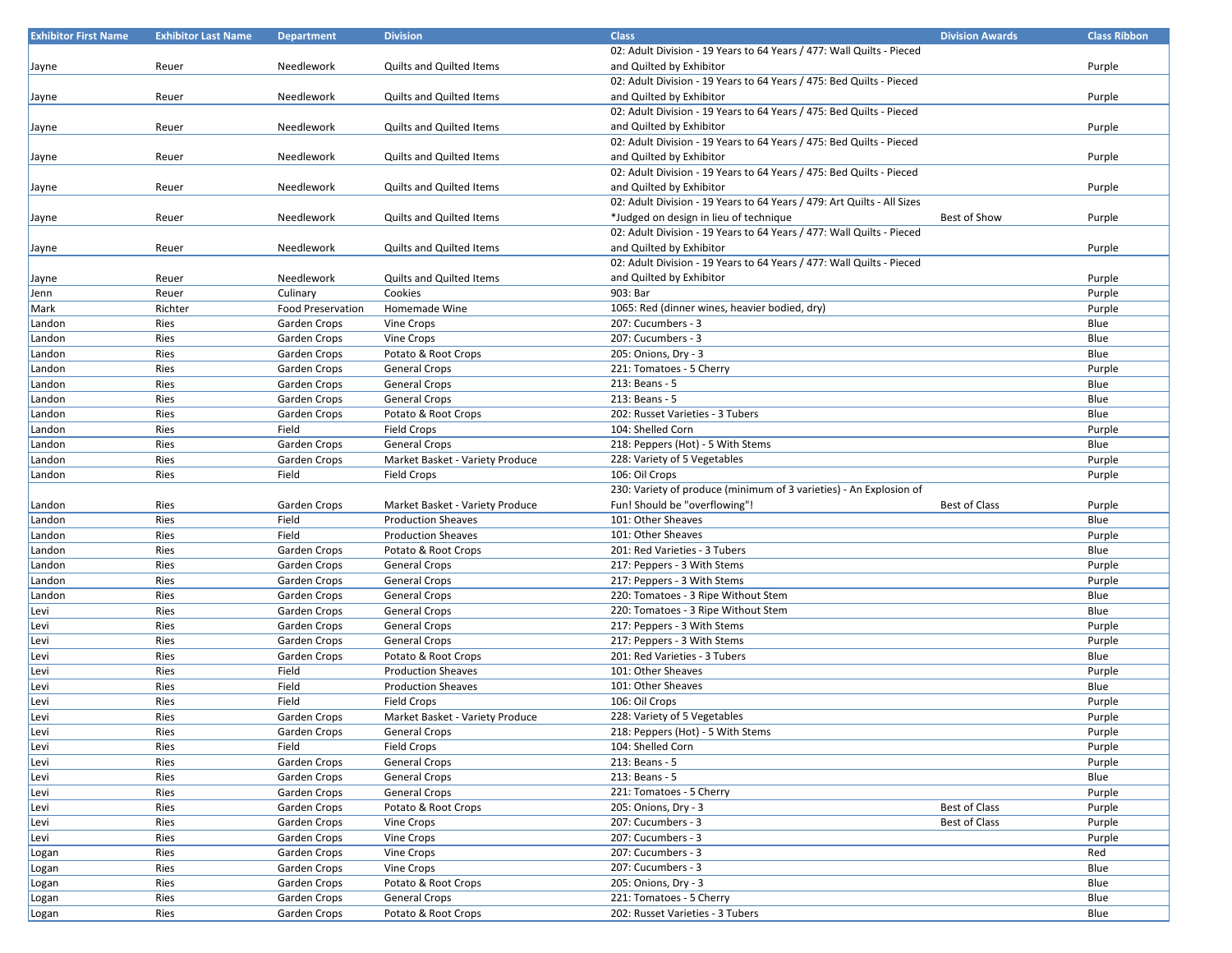| <b>Exhibitor First Name</b> | <b>Exhibitor Last Name</b> | <b>Department</b>        | <b>Division</b>                 | <b>Class</b>                                                            | <b>Division Awards</b> | <b>Class Ribbon</b> |
|-----------------------------|----------------------------|--------------------------|---------------------------------|-------------------------------------------------------------------------|------------------------|---------------------|
|                             |                            |                          |                                 | 02: Adult Division - 19 Years to 64 Years / 477: Wall Quilts - Pieced   |                        |                     |
| Jayne                       | Reuer                      | Needlework               | <b>Quilts and Quilted Items</b> | and Quilted by Exhibitor                                                |                        | Purple              |
|                             |                            |                          |                                 | 02: Adult Division - 19 Years to 64 Years / 475: Bed Quilts - Pieced    |                        |                     |
| Jayne                       | Reuer                      | Needlework               | <b>Quilts and Quilted Items</b> | and Quilted by Exhibitor                                                |                        | Purple              |
|                             |                            |                          |                                 | 02: Adult Division - 19 Years to 64 Years / 475: Bed Quilts - Pieced    |                        |                     |
|                             |                            |                          |                                 |                                                                         |                        |                     |
| Jayne                       | Reuer                      | Needlework               | Quilts and Quilted Items        | and Quilted by Exhibitor                                                |                        | Purple              |
|                             |                            |                          |                                 | 02: Adult Division - 19 Years to 64 Years / 475: Bed Quilts - Pieced    |                        |                     |
| Jayne                       | Reuer                      | Needlework               | <b>Quilts and Quilted Items</b> | and Quilted by Exhibitor                                                |                        | Purple              |
|                             |                            |                          |                                 | 02: Adult Division - 19 Years to 64 Years / 475: Bed Quilts - Pieced    |                        |                     |
| Jayne                       | Reuer                      | Needlework               | <b>Quilts and Quilted Items</b> | and Quilted by Exhibitor                                                |                        | Purple              |
|                             |                            |                          |                                 | 02: Adult Division - 19 Years to 64 Years / 479: Art Quilts - All Sizes |                        |                     |
| Jayne                       | Reuer                      | Needlework               | Quilts and Quilted Items        | *Judged on design in lieu of technique                                  | Best of Show           | Purple              |
|                             |                            |                          |                                 | 02: Adult Division - 19 Years to 64 Years / 477: Wall Quilts - Pieced   |                        |                     |
| Jayne                       | Reuer                      | Needlework               | <b>Quilts and Quilted Items</b> | and Quilted by Exhibitor                                                |                        | Purple              |
|                             |                            |                          |                                 | 02: Adult Division - 19 Years to 64 Years / 477: Wall Quilts - Pieced   |                        |                     |
|                             | Reuer                      | Needlework               | Quilts and Quilted Items        | and Quilted by Exhibitor                                                |                        | Purple              |
| Jayne                       |                            |                          |                                 |                                                                         |                        |                     |
| Jenn                        | Reuer                      | Culinary                 | Cookies                         | 903: Bar                                                                |                        | Purple              |
| Mark                        | Richter                    | <b>Food Preservation</b> | Homemade Wine                   | 1065: Red (dinner wines, heavier bodied, dry)                           |                        | Purple              |
| Landon                      | Ries                       | Garden Crops             | Vine Crops                      | 207: Cucumbers - 3                                                      |                        | Blue                |
| Landon                      | Ries                       | Garden Crops             | Vine Crops                      | 207: Cucumbers - 3                                                      |                        | Blue                |
| Landon                      | Ries                       | Garden Crops             | Potato & Root Crops             | 205: Onions, Dry - 3                                                    |                        | Blue                |
| Landon                      | Ries                       | Garden Crops             | General Crops                   | 221: Tomatoes - 5 Cherry                                                |                        | Purple              |
| Landon                      | Ries                       | Garden Crops             | General Crops                   | 213: Beans - 5                                                          |                        | Blue                |
| Landon                      | Ries                       | Garden Crops             | General Crops                   | 213: Beans - 5                                                          |                        | Blue                |
| Landon                      | Ries                       | Garden Crops             | Potato & Root Crops             | 202: Russet Varieties - 3 Tubers                                        |                        | Blue                |
| Landon                      | Ries                       | Field                    | <b>Field Crops</b>              | 104: Shelled Corn                                                       |                        | Purple              |
|                             |                            |                          |                                 |                                                                         |                        |                     |
| Landon                      | Ries                       | Garden Crops             | General Crops                   | 218: Peppers (Hot) - 5 With Stems                                       |                        | Blue                |
| Landon                      | Ries                       | Garden Crops             | Market Basket - Variety Produce | 228: Variety of 5 Vegetables                                            |                        | Purple              |
| Landon                      | Ries                       | Field                    | Field Crops                     | 106: Oil Crops                                                          |                        | Purple              |
|                             |                            |                          |                                 | 230: Variety of produce (minimum of 3 varieties) - An Explosion of      |                        |                     |
| Landon                      | Ries                       | Garden Crops             | Market Basket - Variety Produce | Fun! Should be "overflowing"!                                           | <b>Best of Class</b>   | Purple              |
| Landon                      | Ries                       | Field                    | <b>Production Sheaves</b>       | 101: Other Sheaves                                                      |                        | Blue                |
| Landon                      | Ries                       | Field                    | <b>Production Sheaves</b>       | 101: Other Sheaves                                                      |                        | Purple              |
| Landon                      | Ries                       | Garden Crops             | Potato & Root Crops             | 201: Red Varieties - 3 Tubers                                           |                        | Blue                |
| Landon                      | Ries                       | Garden Crops             | <b>General Crops</b>            | 217: Peppers - 3 With Stems                                             |                        | Purple              |
|                             |                            |                          |                                 | 217: Peppers - 3 With Stems                                             |                        |                     |
| Landon                      | Ries                       | Garden Crops             | General Crops                   |                                                                         |                        | Purple              |
| Landon                      | Ries                       | Garden Crops             | <b>General Crops</b>            | 220: Tomatoes - 3 Ripe Without Stem                                     |                        | Blue                |
| Levi                        | Ries                       | Garden Crops             | <b>General Crops</b>            | 220: Tomatoes - 3 Ripe Without Stem                                     |                        | Blue                |
| Levi                        | Ries                       | Garden Crops             | General Crops                   | 217: Peppers - 3 With Stems                                             |                        | Purple              |
| Levi                        | Ries                       | Garden Crops             | General Crops                   | 217: Peppers - 3 With Stems                                             |                        | Purple              |
| Levi                        | Ries                       | Garden Crops             | Potato & Root Crops             | 201: Red Varieties - 3 Tubers                                           |                        | Blue                |
| Levi                        | Ries                       | Field                    | <b>Production Sheaves</b>       | 101: Other Sheaves                                                      |                        | Purple              |
| Levi                        | Ries                       | Field                    | <b>Production Sheaves</b>       | 101: Other Sheaves                                                      |                        | Blue                |
| Levi                        | Ries                       | Field                    | Field Crops                     | 106: Oil Crops                                                          |                        | Purple              |
| Levi                        | Ries                       | Garden Crops             | Market Basket - Variety Produce | 228: Variety of 5 Vegetables                                            |                        | Purple              |
| Levi                        | Ries                       | Garden Crops             | <b>General Crops</b>            | 218: Peppers (Hot) - 5 With Stems                                       |                        | Purple              |
| Levi                        | Ries                       | Field                    | Field Crops                     | 104: Shelled Corn                                                       |                        | Purple              |
|                             |                            |                          |                                 |                                                                         |                        |                     |
| Levi                        | Ries                       | Garden Crops             | <b>General Crops</b>            | 213: Beans - 5                                                          |                        | Purple              |
| Levi                        | Ries                       | Garden Crops             | <b>General Crops</b>            | 213: Beans - 5                                                          |                        | Blue                |
| Levi                        | Ries                       | Garden Crops             | General Crops                   | 221: Tomatoes - 5 Cherry                                                |                        | Purple              |
| Levi                        | Ries                       | Garden Crops             | Potato & Root Crops             | 205: Onions, Dry - 3                                                    | <b>Best of Class</b>   | Purple              |
| Levi                        | Ries                       | Garden Crops             | Vine Crops                      | 207: Cucumbers - 3                                                      | Best of Class          | Purple              |
| Levi                        | Ries                       | Garden Crops             | Vine Crops                      | 207: Cucumbers - 3                                                      |                        | Purple              |
| Logan                       | Ries                       | Garden Crops             | Vine Crops                      | 207: Cucumbers - 3                                                      |                        | Red                 |
| Logan                       | Ries                       | Garden Crops             | Vine Crops                      | 207: Cucumbers - 3                                                      |                        | Blue                |
| Logan                       | Ries                       | Garden Crops             | Potato & Root Crops             | 205: Onions, Dry - 3                                                    |                        | Blue                |
|                             | Ries                       | Garden Crops             | General Crops                   | 221: Tomatoes - 5 Cherry                                                |                        | Blue                |
| Logan                       |                            |                          |                                 |                                                                         |                        |                     |
| Logan                       | Ries                       | Garden Crops             | Potato & Root Crops             | 202: Russet Varieties - 3 Tubers                                        |                        | Blue                |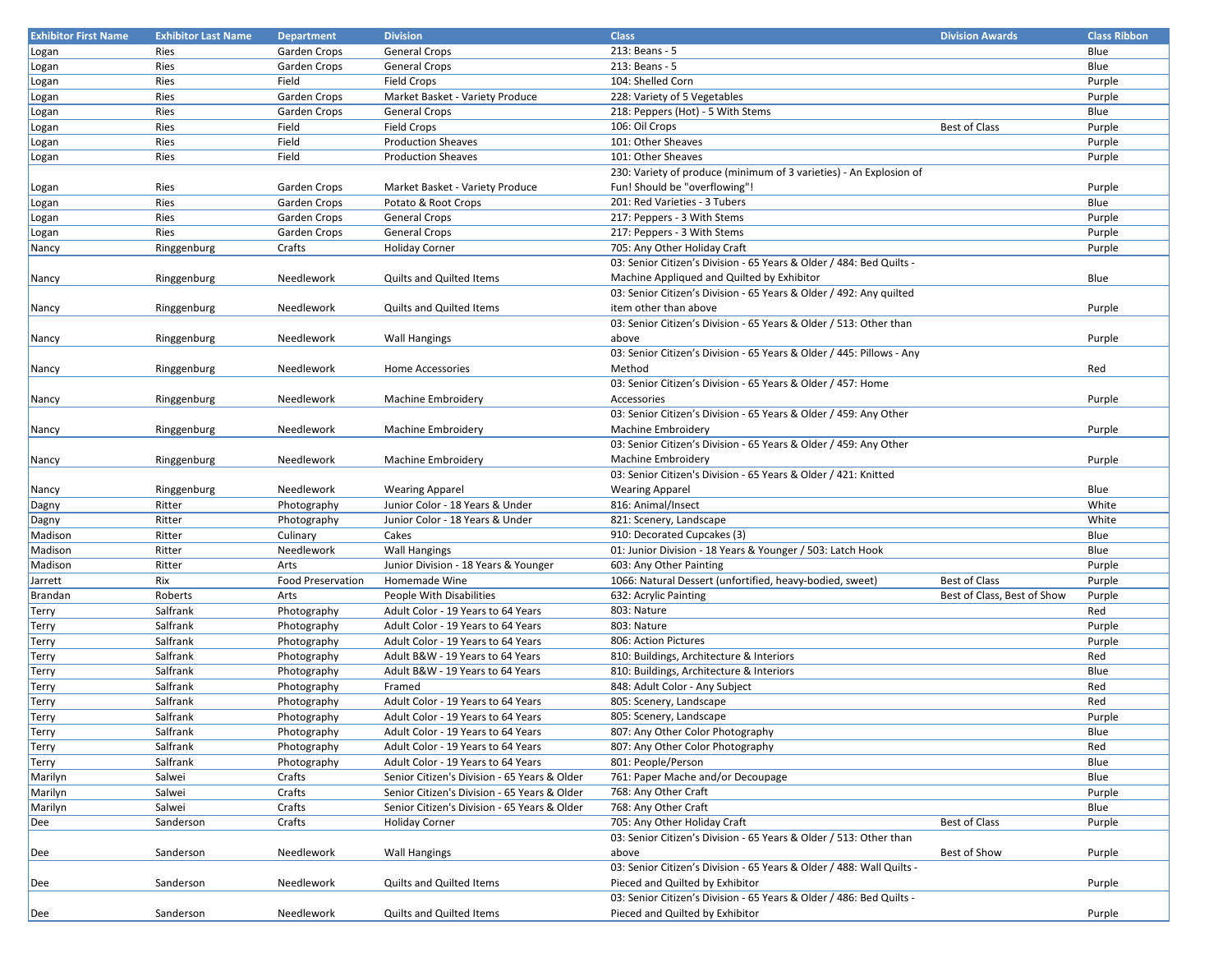| <b>Exhibitor First Name</b> | <b>Exhibitor Last Name</b> | <b>Department</b>        | <b>Division</b>                              | <b>Class</b>                                                          | <b>Division Awards</b>      | <b>Class Ribbon</b> |
|-----------------------------|----------------------------|--------------------------|----------------------------------------------|-----------------------------------------------------------------------|-----------------------------|---------------------|
| Logan                       | Ries                       | Garden Crops             | <b>General Crops</b>                         | 213: Beans - 5                                                        |                             | Blue                |
| Logan                       | Ries                       | Garden Crops             | <b>General Crops</b>                         | 213: Beans - 5                                                        |                             | Blue                |
| Logan                       | Ries                       | Field                    | <b>Field Crops</b>                           | 104: Shelled Corn                                                     |                             | Purple              |
| Logan                       | Ries                       | Garden Crops             | Market Basket - Variety Produce              | 228: Variety of 5 Vegetables                                          |                             | Purple              |
| Logan                       | Ries                       | Garden Crops             | General Crops                                | 218: Peppers (Hot) - 5 With Stems                                     |                             | Blue                |
| Logan                       | Ries                       | Field                    | <b>Field Crops</b>                           | 106: Oil Crops                                                        | <b>Best of Class</b>        | Purple              |
| Logan                       | Ries                       | Field                    | <b>Production Sheaves</b>                    | 101: Other Sheaves                                                    |                             | Purple              |
| Logan                       | Ries                       | Field                    | <b>Production Sheaves</b>                    | 101: Other Sheaves                                                    |                             | Purple              |
|                             |                            |                          |                                              | 230: Variety of produce (minimum of 3 varieties) - An Explosion of    |                             |                     |
| Logan                       | Ries                       | Garden Crops             | Market Basket - Variety Produce              | Fun! Should be "overflowing"!                                         |                             | Purple              |
| Logan                       | Ries                       | Garden Crops             | Potato & Root Crops                          | 201: Red Varieties - 3 Tubers                                         |                             | Blue                |
| Logan                       | Ries                       | Garden Crops             | <b>General Crops</b>                         | 217: Peppers - 3 With Stems                                           |                             | Purple              |
| Logan                       | Ries                       | Garden Crops             | <b>General Crops</b>                         | 217: Peppers - 3 With Stems                                           |                             | Purple              |
| Nancy                       | Ringgenburg                | Crafts                   | <b>Holiday Corner</b>                        | 705: Any Other Holiday Craft                                          |                             | Purple              |
|                             |                            |                          |                                              | 03: Senior Citizen's Division - 65 Years & Older / 484: Bed Quilts -  |                             |                     |
| Nancy                       | Ringgenburg                | Needlework               | Quilts and Quilted Items                     | Machine Appliqued and Quilted by Exhibitor                            |                             | Blue                |
|                             |                            |                          |                                              | 03: Senior Citizen's Division - 65 Years & Older / 492: Any quilted   |                             |                     |
| Nancy                       | Ringgenburg                | Needlework               | <b>Quilts and Quilted Items</b>              | item other than above                                                 |                             | Purple              |
|                             |                            |                          |                                              | 03: Senior Citizen's Division - 65 Years & Older / 513: Other than    |                             |                     |
| Nancy                       | Ringgenburg                | Needlework               | <b>Wall Hangings</b>                         | above                                                                 |                             | Purple              |
|                             |                            |                          |                                              | 03: Senior Citizen's Division - 65 Years & Older / 445: Pillows - Any |                             |                     |
|                             | Ringgenburg                | Needlework               | <b>Home Accessories</b>                      | Method                                                                |                             | Red                 |
| Nancy                       |                            |                          |                                              | 03: Senior Citizen's Division - 65 Years & Older / 457: Home          |                             |                     |
|                             |                            | Needlework               | Machine Embroidery                           | Accessories                                                           |                             | Purple              |
| Nancy                       | Ringgenburg                |                          |                                              | 03: Senior Citizen's Division - 65 Years & Older / 459: Any Other     |                             |                     |
|                             |                            | Needlework               |                                              |                                                                       |                             |                     |
| Nancy                       | Ringgenburg                |                          | Machine Embroidery                           | Machine Embroidery                                                    |                             | Purple              |
|                             |                            |                          |                                              | 03: Senior Citizen's Division - 65 Years & Older / 459: Any Other     |                             |                     |
| Nancy                       | Ringgenburg                | Needlework               | Machine Embroidery                           | Machine Embroidery                                                    |                             | Purple              |
|                             |                            |                          |                                              | 03: Senior Citizen's Division - 65 Years & Older / 421: Knitted       |                             |                     |
| Nancy                       | Ringgenburg                | Needlework               | <b>Wearing Apparel</b>                       | <b>Wearing Apparel</b>                                                |                             | Blue                |
| Dagny                       | Ritter                     | Photography              | Junior Color - 18 Years & Under              | 816: Animal/Insect                                                    |                             | White               |
| Dagny                       | Ritter                     | Photography              | Junior Color - 18 Years & Under              | 821: Scenery, Landscape                                               |                             | White               |
| Madison                     | Ritter                     | Culinary                 | Cakes                                        | 910: Decorated Cupcakes (3)                                           |                             | Blue                |
| Madison                     | Ritter                     | Needlework               | <b>Wall Hangings</b>                         | 01: Junior Division - 18 Years & Younger / 503: Latch Hook            |                             | Blue                |
| Madison                     | Ritter                     | Arts                     | Junior Division - 18 Years & Younger         | 603: Any Other Painting                                               |                             | Purple              |
| Jarrett                     | Rix                        | <b>Food Preservation</b> | Homemade Wine                                | 1066: Natural Dessert (unfortified, heavy-bodied, sweet)              | <b>Best of Class</b>        | Purple              |
| Brandan                     | Roberts                    | Arts                     | People With Disabilities                     | 632: Acrylic Painting                                                 | Best of Class, Best of Show | Purple              |
| Terry                       | Salfrank                   | Photography              | Adult Color - 19 Years to 64 Years           | 803: Nature                                                           |                             | Red                 |
| Terry                       | Salfrank                   | Photography              | Adult Color - 19 Years to 64 Years           | 803: Nature                                                           |                             | Purple              |
| Terry                       | Salfrank                   | Photography              | Adult Color - 19 Years to 64 Years           | 806: Action Pictures                                                  |                             | Purple              |
| Terry                       | Salfrank                   | Photography              | Adult B&W - 19 Years to 64 Years             | 810: Buildings, Architecture & Interiors                              |                             | Red                 |
| Terry                       | Salfrank                   | Photography              | Adult B&W - 19 Years to 64 Years             | 810: Buildings, Architecture & Interiors                              |                             | Blue                |
| Terry                       | Salfrank                   | Photography              | Framed                                       | 848: Adult Color - Any Subject                                        |                             | Red                 |
| Terry                       | Salfrank                   | Photography              | Adult Color - 19 Years to 64 Years           | 805: Scenery, Landscape                                               |                             | Red                 |
| Terry                       | Salfrank                   | Photography              | Adult Color - 19 Years to 64 Years           | 805: Scenery, Landscape                                               |                             | Purple              |
| Terry                       | Salfrank                   | Photography              | Adult Color - 19 Years to 64 Years           | 807: Any Other Color Photography                                      |                             | Blue                |
| <b>Terry</b>                | Salfrank                   | Photography              | Adult Color - 19 Years to 64 Years           | 807: Any Other Color Photography                                      |                             | Red                 |
| Terry                       | Salfrank                   | Photography              | Adult Color - 19 Years to 64 Years           | 801: People/Person                                                    |                             | Blue                |
| Marilyn                     | Salwei                     | Crafts                   | Senior Citizen's Division - 65 Years & Older | 761: Paper Mache and/or Decoupage                                     |                             | Blue                |
| Marilyn                     | Salwei                     | Crafts                   | Senior Citizen's Division - 65 Years & Older | 768: Any Other Craft                                                  |                             | Purple              |
| Marilyn                     | Salwei                     | Crafts                   | Senior Citizen's Division - 65 Years & Older | 768: Any Other Craft                                                  |                             | Blue                |
| Dee                         | Sanderson                  | Crafts                   | <b>Holiday Corner</b>                        | 705: Any Other Holiday Craft                                          | Best of Class               | Purple              |
|                             |                            |                          |                                              | 03: Senior Citizen's Division - 65 Years & Older / 513: Other than    |                             |                     |
| Dee                         | Sanderson                  | Needlework               | <b>Wall Hangings</b>                         | above                                                                 | Best of Show                | Purple              |
|                             |                            |                          |                                              | 03: Senior Citizen's Division - 65 Years & Older / 488: Wall Quilts - |                             |                     |
| Dee                         | Sanderson                  | Needlework               | Quilts and Quilted Items                     | Pieced and Quilted by Exhibitor                                       |                             | Purple              |
|                             |                            |                          |                                              | 03: Senior Citizen's Division - 65 Years & Older / 486: Bed Quilts -  |                             |                     |
| Dee                         | Sanderson                  | Needlework               | Quilts and Quilted Items                     | Pieced and Quilted by Exhibitor                                       |                             | Purple              |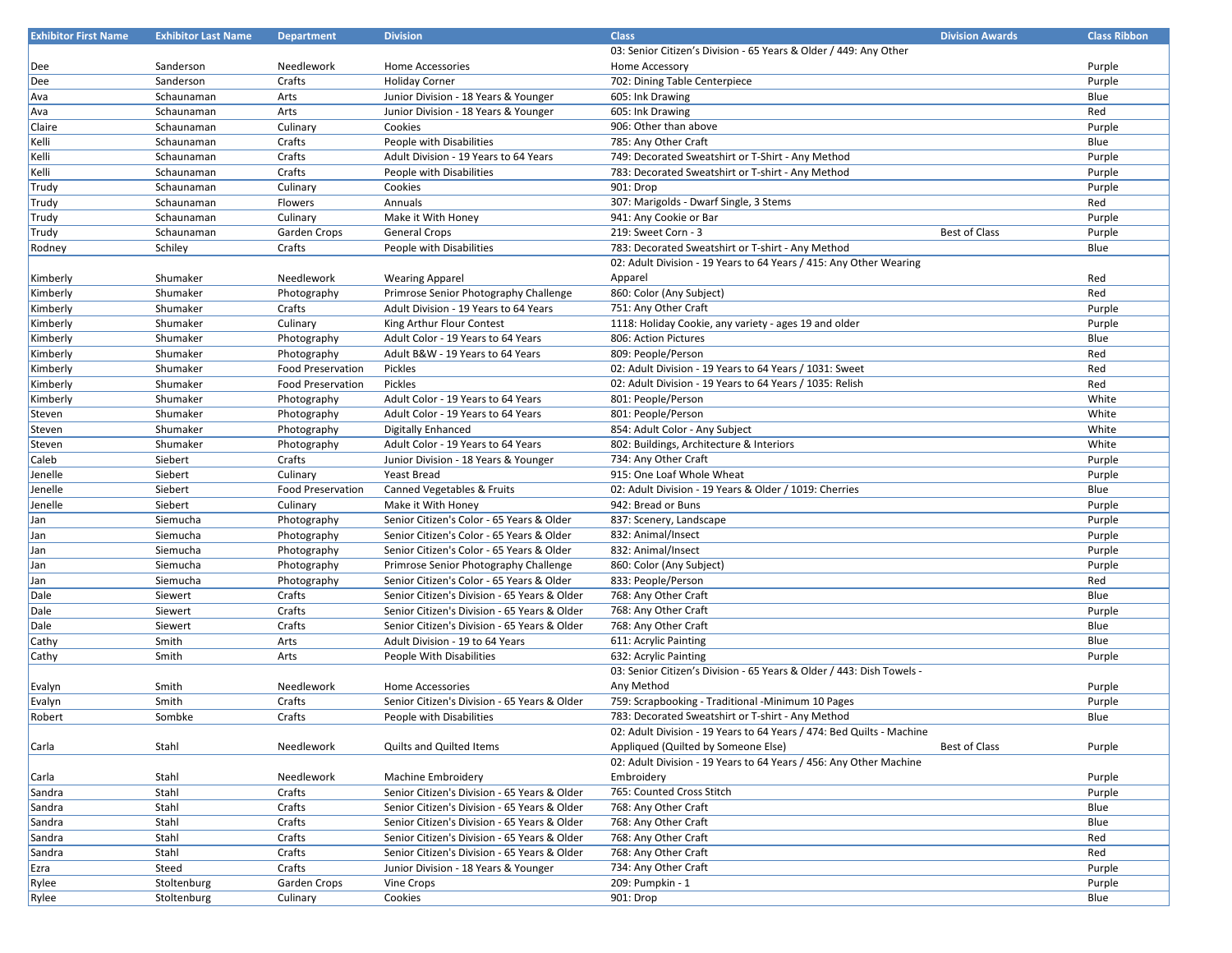| <b>Exhibitor First Name</b> | <b>Exhibitor Last Name</b> | <b>Department</b>        | <b>Division</b>                                                    | <b>Class</b>                                                                                              | <b>Division Awards</b> | <b>Class Ribbon</b> |
|-----------------------------|----------------------------|--------------------------|--------------------------------------------------------------------|-----------------------------------------------------------------------------------------------------------|------------------------|---------------------|
|                             |                            |                          |                                                                    | 03: Senior Citizen's Division - 65 Years & Older / 449: Any Other                                         |                        |                     |
| Dee                         | Sanderson                  | Needlework               | Home Accessories                                                   | Home Accessory                                                                                            |                        | Purple              |
| Dee                         | Sanderson                  | Crafts                   | <b>Holiday Corner</b>                                              | 702: Dining Table Centerpiece                                                                             |                        | Purple              |
| Ava                         | Schaunaman                 | Arts                     | Junior Division - 18 Years & Younger                               | 605: Ink Drawing                                                                                          |                        | Blue                |
| Ava                         | Schaunaman                 | Arts                     | Junior Division - 18 Years & Younger                               | 605: Ink Drawing                                                                                          |                        | Red                 |
| Claire                      | Schaunaman                 | Culinary                 | Cookies                                                            | 906: Other than above                                                                                     |                        | Purple              |
| Kelli                       | Schaunaman                 | Crafts                   | People with Disabilities                                           | 785: Any Other Craft                                                                                      |                        | Blue                |
| Kelli                       | Schaunaman                 | Crafts                   | Adult Division - 19 Years to 64 Years                              | 749: Decorated Sweatshirt or T-Shirt - Any Method                                                         |                        | Purple              |
| Kelli                       | Schaunaman                 | Crafts                   | People with Disabilities                                           | 783: Decorated Sweatshirt or T-shirt - Any Method                                                         |                        | Purple              |
| Trudy                       | Schaunaman                 | Culinary                 | Cookies                                                            | 901: Drop                                                                                                 |                        | Purple              |
| Trudy                       | Schaunaman                 | Flowers                  | Annuals                                                            | 307: Marigolds - Dwarf Single, 3 Stems                                                                    |                        | Red                 |
| Trudy                       | Schaunaman                 | Culinary                 | Make it With Honey                                                 | 941: Any Cookie or Bar                                                                                    |                        | Purple              |
| Trudy                       | Schaunaman                 | Garden Crops             | <b>General Crops</b>                                               | 219: Sweet Corn - 3                                                                                       | <b>Best of Class</b>   | Purple              |
| Rodney                      | Schiley                    | Crafts                   | People with Disabilities                                           | 783: Decorated Sweatshirt or T-shirt - Any Method                                                         |                        | Blue                |
|                             |                            |                          |                                                                    | 02: Adult Division - 19 Years to 64 Years / 415: Any Other Wearing                                        |                        |                     |
| Kimberly                    | Shumaker                   | Needlework               | <b>Wearing Apparel</b>                                             | Apparel                                                                                                   |                        | Red                 |
| Kimberly                    | Shumaker                   | Photography              | Primrose Senior Photography Challenge                              | 860: Color (Any Subject)                                                                                  |                        | Red                 |
| Kimberly                    | Shumaker                   | Crafts                   | Adult Division - 19 Years to 64 Years                              | 751: Any Other Craft                                                                                      |                        | Purple              |
| Kimberly                    | Shumaker                   | Culinary                 | King Arthur Flour Contest                                          | 1118: Holiday Cookie, any variety - ages 19 and older                                                     |                        | Purple              |
| Kimberly                    | Shumaker                   | Photography              | Adult Color - 19 Years to 64 Years                                 | 806: Action Pictures                                                                                      |                        | Blue                |
| Kimberly                    | Shumaker                   | Photography              | Adult B&W - 19 Years to 64 Years                                   | 809: People/Person                                                                                        |                        | Red                 |
| Kimberly                    | Shumaker                   | <b>Food Preservation</b> | Pickles                                                            | 02: Adult Division - 19 Years to 64 Years / 1031: Sweet                                                   |                        | Red                 |
| Kimberly                    | Shumaker                   | <b>Food Preservation</b> | Pickles                                                            | 02: Adult Division - 19 Years to 64 Years / 1035: Relish                                                  |                        | Red                 |
| Kimberly                    | Shumaker                   | Photography              | Adult Color - 19 Years to 64 Years                                 | 801: People/Person                                                                                        |                        | White               |
| Steven                      | Shumaker                   | Photography              | Adult Color - 19 Years to 64 Years                                 | 801: People/Person                                                                                        |                        | White               |
| Steven                      | Shumaker                   | Photography              | <b>Digitally Enhanced</b>                                          | 854: Adult Color - Any Subject                                                                            |                        | White               |
| Steven                      | Shumaker                   | Photography              | Adult Color - 19 Years to 64 Years                                 | 802: Buildings, Architecture & Interiors                                                                  |                        | White               |
| Caleb                       | Siebert                    | Crafts                   | Junior Division - 18 Years & Younger                               | 734: Any Other Craft                                                                                      |                        | Purple              |
| Jenelle                     | Siebert                    | Culinary                 | <b>Yeast Bread</b>                                                 | 915: One Loaf Whole Wheat                                                                                 |                        | Purple              |
| Jenelle                     | Siebert                    | <b>Food Preservation</b> | Canned Vegetables & Fruits                                         | 02: Adult Division - 19 Years & Older / 1019: Cherries                                                    |                        | Blue                |
| Jenelle                     | Siebert                    | Culinary                 | Make it With Honey                                                 | 942: Bread or Buns                                                                                        |                        | Purple              |
| Jan                         | Siemucha                   | Photography              | Senior Citizen's Color - 65 Years & Older                          | 837: Scenery, Landscape                                                                                   |                        | Purple              |
| Jan                         | Siemucha                   | Photography              | Senior Citizen's Color - 65 Years & Older                          | 832: Animal/Insect                                                                                        |                        | Purple              |
| Jan                         | Siemucha                   | Photography              | Senior Citizen's Color - 65 Years & Older                          | 832: Animal/Insect                                                                                        |                        | Purple              |
| Jan                         | Siemucha                   | Photography              | Primrose Senior Photography Challenge                              | 860: Color (Any Subject)                                                                                  |                        | Purple              |
|                             | Siemucha                   | Photography              | Senior Citizen's Color - 65 Years & Older                          | 833: People/Person                                                                                        |                        | Red                 |
| Jan<br>Dale                 | Siewert                    | Crafts                   | Senior Citizen's Division - 65 Years & Older                       | 768: Any Other Craft                                                                                      |                        | Blue                |
| Dale                        | Siewert                    | Crafts                   | Senior Citizen's Division - 65 Years & Older                       | 768: Any Other Craft                                                                                      |                        | Purple              |
| Dale                        | Siewert                    | Crafts                   | Senior Citizen's Division - 65 Years & Older                       | 768: Any Other Craft                                                                                      |                        | Blue                |
| Cathy                       | Smith                      | Arts                     | Adult Division - 19 to 64 Years                                    | 611: Acrylic Painting                                                                                     |                        | Blue                |
| Cathy                       | Smith                      | Arts                     | People With Disabilities                                           | 632: Acrylic Painting                                                                                     |                        | Purple              |
|                             |                            |                          |                                                                    | 03: Senior Citizen's Division - 65 Years & Older / 443: Dish Towels -                                     |                        |                     |
|                             | Smith                      | Needlework               | Home Accessories                                                   | Any Method                                                                                                |                        | Purple              |
| Evalyn                      | Smith                      | Crafts                   | Senior Citizen's Division - 65 Years & Older                       | 759: Scrapbooking - Traditional -Minimum 10 Pages                                                         |                        | Purple              |
| Evalyn                      | Sombke                     | Crafts                   |                                                                    | 783: Decorated Sweatshirt or T-shirt - Any Method                                                         |                        | Blue                |
| Robert                      |                            |                          | People with Disabilities                                           | 02: Adult Division - 19 Years to 64 Years / 474: Bed Quilts - Machine                                     |                        |                     |
|                             |                            |                          | <b>Quilts and Quilted Items</b>                                    |                                                                                                           |                        |                     |
| Carla                       | Stahl                      | Needlework               |                                                                    | Appliqued (Quilted by Someone Else)<br>02: Adult Division - 19 Years to 64 Years / 456: Any Other Machine | <b>Best of Class</b>   | Purple              |
|                             |                            |                          |                                                                    |                                                                                                           |                        |                     |
| Carla                       | Stahl<br>Stahl             | Needlework<br>Crafts     | Machine Embroidery<br>Senior Citizen's Division - 65 Years & Older | Embroidery<br>765: Counted Cross Stitch                                                                   |                        | Purple              |
| Sandra                      |                            | Crafts                   |                                                                    |                                                                                                           |                        | Purple<br>Blue      |
| Sandra                      | Stahl                      |                          | Senior Citizen's Division - 65 Years & Older                       | 768: Any Other Craft                                                                                      |                        |                     |
| Sandra                      | Stahl                      | Crafts                   | Senior Citizen's Division - 65 Years & Older                       | 768: Any Other Craft                                                                                      |                        | Blue                |
| Sandra                      | Stahl                      | Crafts                   | Senior Citizen's Division - 65 Years & Older                       | 768: Any Other Craft                                                                                      |                        | Red                 |
| Sandra                      | Stahl                      | Crafts                   | Senior Citizen's Division - 65 Years & Older                       | 768: Any Other Craft                                                                                      |                        | Red                 |
| Ezra                        | Steed                      | Crafts                   | Junior Division - 18 Years & Younger                               | 734: Any Other Craft                                                                                      |                        | Purple              |
| Rylee                       | Stoltenburg                | Garden Crops             | Vine Crops                                                         | 209: Pumpkin - 1                                                                                          |                        | Purple              |
| Rylee                       | Stoltenburg                | Culinary                 | Cookies                                                            | 901: Drop                                                                                                 |                        | Blue                |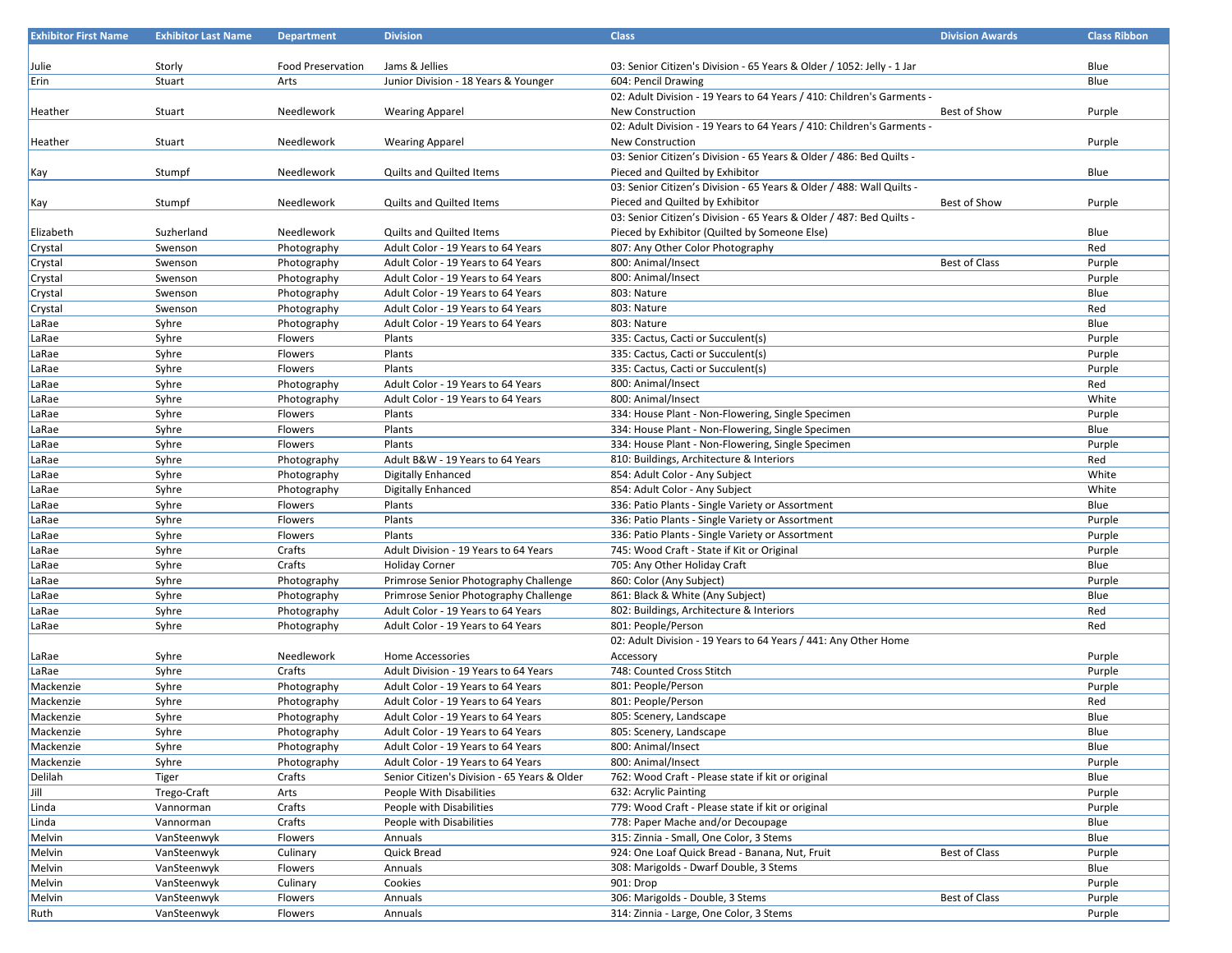| <b>Exhibitor First Name</b> | <b>Exhibitor Last Name</b> | <b>Department</b>        | <b>Division</b>                              | <b>Class</b>                                                           | <b>Division Awards</b> | <b>Class Ribbon</b> |
|-----------------------------|----------------------------|--------------------------|----------------------------------------------|------------------------------------------------------------------------|------------------------|---------------------|
|                             |                            |                          |                                              |                                                                        |                        |                     |
| Julie                       | Storly                     | <b>Food Preservation</b> | Jams & Jellies                               | 03: Senior Citizen's Division - 65 Years & Older / 1052: Jelly - 1 Jar |                        | Blue                |
| Erin                        | Stuart                     | Arts                     | Junior Division - 18 Years & Younger         | 604: Pencil Drawing                                                    |                        | Blue                |
|                             |                            |                          |                                              | 02: Adult Division - 19 Years to 64 Years / 410: Children's Garments - |                        |                     |
| Heather                     | Stuart                     | Needlework               | <b>Wearing Apparel</b>                       | New Construction                                                       | <b>Best of Show</b>    | Purple              |
|                             |                            |                          |                                              | 02: Adult Division - 19 Years to 64 Years / 410: Children's Garments - |                        |                     |
| Heather                     | Stuart                     | Needlework               | <b>Wearing Apparel</b>                       | New Construction                                                       |                        | Purple              |
|                             |                            |                          |                                              | 03: Senior Citizen's Division - 65 Years & Older / 486: Bed Quilts -   |                        |                     |
|                             | Stumpf                     | Needlework               | <b>Quilts and Quilted Items</b>              | Pieced and Quilted by Exhibitor                                        |                        | Blue                |
| Kay                         |                            |                          |                                              | 03: Senior Citizen's Division - 65 Years & Older / 488: Wall Quilts -  |                        |                     |
|                             | Stumpf                     | Needlework               | Quilts and Quilted Items                     | Pieced and Quilted by Exhibitor                                        | Best of Show           | Purple              |
| Kay                         |                            |                          |                                              | 03: Senior Citizen's Division - 65 Years & Older / 487: Bed Quilts -   |                        |                     |
|                             |                            |                          |                                              |                                                                        |                        |                     |
| Elizabeth                   | Suzherland                 | Needlework               | Quilts and Quilted Items                     | Pieced by Exhibitor (Quilted by Someone Else)                          |                        | Blue                |
| Crystal                     | Swenson                    | Photography              | Adult Color - 19 Years to 64 Years           | 807: Any Other Color Photography                                       |                        | Red                 |
| Crystal                     | Swenson                    | Photography              | Adult Color - 19 Years to 64 Years           | 800: Animal/Insect                                                     | Best of Class          | Purple              |
| Crystal                     | Swenson                    | Photography              | Adult Color - 19 Years to 64 Years           | 800: Animal/Insect                                                     |                        | Purple              |
| Crystal                     | Swenson                    | Photography              | Adult Color - 19 Years to 64 Years           | 803: Nature                                                            |                        | Blue                |
| Crystal                     | Swenson                    | Photography              | Adult Color - 19 Years to 64 Years           | 803: Nature                                                            |                        | Red                 |
| LaRae                       | Syhre                      | Photography              | Adult Color - 19 Years to 64 Years           | 803: Nature                                                            |                        | Blue                |
| LaRae                       | Syhre                      | Flowers                  | Plants                                       | 335: Cactus, Cacti or Succulent(s)                                     |                        | Purple              |
| LaRae                       | Syhre                      | Flowers                  | Plants                                       | 335: Cactus, Cacti or Succulent(s)                                     |                        | Purple              |
| LaRae                       | Syhre                      | Flowers                  | Plants                                       | 335: Cactus, Cacti or Succulent(s)                                     |                        | Purple              |
| LaRae                       | Syhre                      | Photography              | Adult Color - 19 Years to 64 Years           | 800: Animal/Insect                                                     |                        | Red                 |
| LaRae                       | Syhre                      | Photography              | Adult Color - 19 Years to 64 Years           | 800: Animal/Insect                                                     |                        | White               |
| LaRae                       | Syhre                      | Flowers                  | Plants                                       | 334: House Plant - Non-Flowering, Single Specimen                      |                        | Purple              |
| LaRae                       | Syhre                      | Flowers                  | Plants                                       | 334: House Plant - Non-Flowering, Single Specimen                      |                        | Blue                |
| LaRae                       | Syhre                      | Flowers                  | Plants                                       | 334: House Plant - Non-Flowering, Single Specimen                      |                        | Purple              |
| LaRae                       | Syhre                      | Photography              | Adult B&W - 19 Years to 64 Years             | 810: Buildings, Architecture & Interiors                               |                        | Red                 |
| LaRae                       | Syhre                      | Photography              | <b>Digitally Enhanced</b>                    | 854: Adult Color - Any Subject                                         |                        | White               |
| LaRae                       | Syhre                      | Photography              | <b>Digitally Enhanced</b>                    | 854: Adult Color - Any Subject                                         |                        | White               |
| LaRae                       | Syhre                      | Flowers                  | Plants                                       | 336: Patio Plants - Single Variety or Assortment                       |                        | Blue                |
| LaRae                       | Syhre                      | Flowers                  | Plants                                       | 336: Patio Plants - Single Variety or Assortment                       |                        | Purple              |
| LaRae                       | Syhre                      | Flowers                  | Plants                                       | 336: Patio Plants - Single Variety or Assortment                       |                        | Purple              |
| LaRae                       | Syhre                      | Crafts                   | Adult Division - 19 Years to 64 Years        | 745: Wood Craft - State if Kit or Original                             |                        | Purple              |
| LaRae                       | Syhre                      | Crafts                   | <b>Holiday Corner</b>                        | 705: Any Other Holiday Craft                                           |                        | Blue                |
| LaRae                       | Syhre                      | Photography              | Primrose Senior Photography Challenge        | 860: Color (Any Subject)                                               |                        | Purple              |
| LaRae                       | Syhre                      | Photography              | Primrose Senior Photography Challenge        | 861: Black & White (Any Subject)                                       |                        | Blue                |
| LaRae                       | Syhre                      | Photography              | Adult Color - 19 Years to 64 Years           | 802: Buildings, Architecture & Interiors                               |                        | Red                 |
| LaRae                       | Syhre                      |                          | Adult Color - 19 Years to 64 Years           | 801: People/Person                                                     |                        | Red                 |
|                             |                            | Photography              |                                              |                                                                        |                        |                     |
|                             |                            |                          |                                              | 02: Adult Division - 19 Years to 64 Years / 441: Any Other Home        |                        |                     |
| LaRae                       | Syhre                      | Needlework               | <b>Home Accessories</b>                      | Accessory                                                              |                        | Purple              |
| LaRae                       | Syhre                      | Crafts                   | Adult Division - 19 Years to 64 Years        | 748: Counted Cross Stitch                                              |                        | Purple              |
| Mackenzie                   | Syhre                      | Photography              | Adult Color - 19 Years to 64 Years           | 801: People/Person                                                     |                        | Purple              |
| Mackenzie                   | Syhre                      | Photography              | Adult Color - 19 Years to 64 Years           | 801: People/Person                                                     |                        | Red                 |
| Mackenzie                   | Syhre                      | Photography              | Adult Color - 19 Years to 64 Years           | 805: Scenery, Landscape                                                |                        | Blue                |
| Mackenzie                   | Syhre                      | Photography              | Adult Color - 19 Years to 64 Years           | 805: Scenery, Landscape                                                |                        | Blue                |
| Mackenzie                   | Syhre                      | Photography              | Adult Color - 19 Years to 64 Years           | 800: Animal/Insect                                                     |                        | Blue                |
| Mackenzie                   | Syhre                      | Photography              | Adult Color - 19 Years to 64 Years           | 800: Animal/Insect                                                     |                        | Purple              |
| Delilah                     | Tiger                      | Crafts                   | Senior Citizen's Division - 65 Years & Older | 762: Wood Craft - Please state if kit or original                      |                        | Blue                |
| Jill                        | Trego-Craft                | Arts                     | People With Disabilities                     | 632: Acrylic Painting                                                  |                        | Purple              |
| Linda                       | Vannorman                  | Crafts                   | People with Disabilities                     | 779: Wood Craft - Please state if kit or original                      |                        | Purple              |
| Linda                       | Vannorman                  | Crafts                   | People with Disabilities                     | 778: Paper Mache and/or Decoupage                                      |                        | Blue                |
| Melvin                      | VanSteenwyk                | Flowers                  | Annuals                                      | 315: Zinnia - Small, One Color, 3 Stems                                |                        | Blue                |
| Melvin                      | VanSteenwyk                | Culinary                 | Quick Bread                                  | 924: One Loaf Quick Bread - Banana, Nut, Fruit                         | Best of Class          | Purple              |
| Melvin                      | VanSteenwyk                | Flowers                  | Annuals                                      | 308: Marigolds - Dwarf Double, 3 Stems                                 |                        | Blue                |
| Melvin                      | VanSteenwyk                | Culinary                 | Cookies                                      | 901: Drop                                                              |                        | Purple              |
| Melvin                      | VanSteenwyk                | Flowers                  | Annuals                                      | 306: Marigolds - Double, 3 Stems                                       | Best of Class          | Purple              |
| Ruth                        | VanSteenwyk                | Flowers                  | Annuals                                      | 314: Zinnia - Large, One Color, 3 Stems                                |                        | Purple              |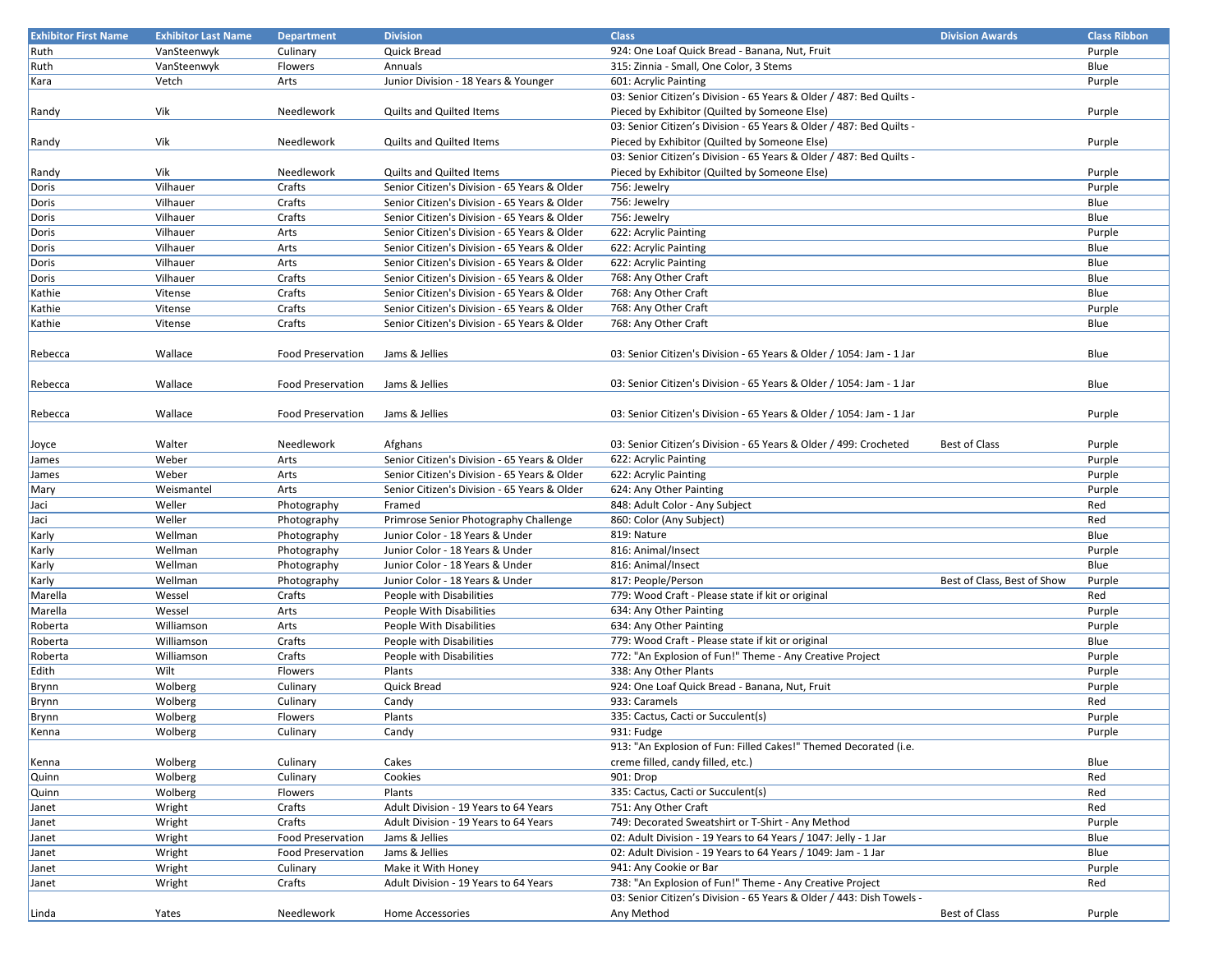| <b>Exhibitor First Name</b> | <b>Exhibitor Last Name</b> | <b>Department</b>        | <b>Division</b>                                                                              | <b>Class</b>                                                          | <b>Division Awards</b>      | <b>Class Ribbon</b> |
|-----------------------------|----------------------------|--------------------------|----------------------------------------------------------------------------------------------|-----------------------------------------------------------------------|-----------------------------|---------------------|
| Ruth                        | VanSteenwyk                | Culinary                 | Quick Bread                                                                                  | 924: One Loaf Quick Bread - Banana, Nut, Fruit                        |                             | Purple              |
| Ruth                        | VanSteenwyk                | Flowers                  | Annuals                                                                                      | 315: Zinnia - Small, One Color, 3 Stems                               |                             | Blue                |
| Kara                        | Vetch                      | Arts                     | Junior Division - 18 Years & Younger                                                         | 601: Acrylic Painting                                                 |                             | Purple              |
|                             |                            |                          |                                                                                              | 03: Senior Citizen's Division - 65 Years & Older / 487: Bed Quilts -  |                             |                     |
| Randy                       | Vik                        | Needlework               | <b>Quilts and Quilted Items</b>                                                              | Pieced by Exhibitor (Quilted by Someone Else)                         |                             | Purple              |
|                             |                            |                          |                                                                                              | 03: Senior Citizen's Division - 65 Years & Older / 487: Bed Quilts -  |                             |                     |
| Randy                       | Vik                        | Needlework               | <b>Quilts and Quilted Items</b>                                                              | Pieced by Exhibitor (Quilted by Someone Else)                         |                             | Purple              |
|                             |                            |                          |                                                                                              | 03: Senior Citizen's Division - 65 Years & Older / 487: Bed Quilts -  |                             |                     |
| Randy                       | Vik                        | Needlework               | <b>Quilts and Quilted Items</b>                                                              | Pieced by Exhibitor (Quilted by Someone Else)                         |                             | Purple              |
| Doris                       | Vilhauer                   | Crafts                   | Senior Citizen's Division - 65 Years & Older                                                 | 756: Jewelry                                                          |                             | Purple              |
| Doris                       | Vilhauer                   | Crafts                   | Senior Citizen's Division - 65 Years & Older                                                 | 756: Jewelry                                                          |                             | Blue                |
|                             | Vilhauer                   | Crafts                   | Senior Citizen's Division - 65 Years & Older                                                 | 756: Jewelry                                                          |                             | Blue                |
| Doris                       | Vilhauer                   | Arts                     |                                                                                              |                                                                       |                             |                     |
| Doris                       |                            |                          | Senior Citizen's Division - 65 Years & Older<br>Senior Citizen's Division - 65 Years & Older | 622: Acrylic Painting                                                 |                             | Purple              |
| Doris                       | Vilhauer                   | Arts                     |                                                                                              | 622: Acrylic Painting                                                 |                             | Blue                |
| Doris                       | Vilhauer                   | Arts                     | Senior Citizen's Division - 65 Years & Older                                                 | 622: Acrylic Painting                                                 |                             | Blue                |
| Doris                       | Vilhauer                   | Crafts                   | Senior Citizen's Division - 65 Years & Older                                                 | 768: Any Other Craft                                                  |                             | Blue                |
| Kathie                      | Vitense                    | Crafts                   | Senior Citizen's Division - 65 Years & Older                                                 | 768: Any Other Craft                                                  |                             | Blue                |
| Kathie                      | Vitense                    | Crafts                   | Senior Citizen's Division - 65 Years & Older                                                 | 768: Any Other Craft                                                  |                             | Purple              |
| Kathie                      | Vitense                    | Crafts                   | Senior Citizen's Division - 65 Years & Older                                                 | 768: Any Other Craft                                                  |                             | Blue                |
|                             |                            |                          |                                                                                              |                                                                       |                             |                     |
| Rebecca                     | Wallace                    | <b>Food Preservation</b> | Jams & Jellies                                                                               | 03: Senior Citizen's Division - 65 Years & Older / 1054: Jam - 1 Jar  |                             | Blue                |
|                             |                            |                          |                                                                                              |                                                                       |                             |                     |
| Rebecca                     | Wallace                    | <b>Food Preservation</b> | Jams & Jellies                                                                               | 03: Senior Citizen's Division - 65 Years & Older / 1054: Jam - 1 Jar  |                             | Blue                |
|                             |                            |                          |                                                                                              |                                                                       |                             |                     |
| Rebecca                     | Wallace                    | <b>Food Preservation</b> | Jams & Jellies                                                                               | 03: Senior Citizen's Division - 65 Years & Older / 1054: Jam - 1 Jar  |                             | Purple              |
|                             |                            |                          |                                                                                              |                                                                       |                             |                     |
| Joyce                       | Walter                     | Needlework               | Afghans                                                                                      | 03: Senior Citizen's Division - 65 Years & Older / 499: Crocheted     | <b>Best of Class</b>        | Purple              |
| James                       | Weber                      | Arts                     | Senior Citizen's Division - 65 Years & Older                                                 | 622: Acrylic Painting                                                 |                             | Purple              |
| James                       | Weber                      | Arts                     | Senior Citizen's Division - 65 Years & Older                                                 | 622: Acrylic Painting                                                 |                             | Purple              |
| Mary                        | Weismantel                 | Arts                     | Senior Citizen's Division - 65 Years & Older                                                 | 624: Any Other Painting                                               |                             | Purple              |
| Jaci                        | Weller                     | Photography              | Framed                                                                                       | 848: Adult Color - Any Subject                                        |                             | Red                 |
| Jaci                        | Weller                     | Photography              | Primrose Senior Photography Challenge                                                        | 860: Color (Any Subject)                                              |                             | Red                 |
| Karly                       | Wellman                    | Photography              | Junior Color - 18 Years & Under                                                              | 819: Nature                                                           |                             | Blue                |
| Karly                       | Wellman                    | Photography              | Junior Color - 18 Years & Under                                                              | 816: Animal/Insect                                                    |                             | Purple              |
| Karly                       | Wellman                    | Photography              | Junior Color - 18 Years & Under                                                              | 816: Animal/Insect                                                    |                             | Blue                |
| Karly                       | Wellman                    | Photography              | Junior Color - 18 Years & Under                                                              | 817: People/Person                                                    | Best of Class, Best of Show | Purple              |
| Marella                     | Wessel                     | Crafts                   | People with Disabilities                                                                     | 779: Wood Craft - Please state if kit or original                     |                             | Red                 |
| Marella                     | Wessel                     | Arts                     | People With Disabilities                                                                     | 634: Any Other Painting                                               |                             | Purple              |
| Roberta                     | Williamson                 | Arts                     | People With Disabilities                                                                     | 634: Any Other Painting                                               |                             | Purple              |
| Roberta                     | Williamson                 | Crafts                   | People with Disabilities                                                                     | 779: Wood Craft - Please state if kit or original                     |                             | Blue                |
| Roberta                     | Williamson                 | Crafts                   | People with Disabilities                                                                     | 772: "An Explosion of Fun!" Theme - Any Creative Project              |                             | Purple              |
| Edith                       | Wilt                       | Flowers                  | Plants                                                                                       | 338: Any Other Plants                                                 |                             | Purple              |
| Brynn                       | Wolberg                    | Culinary                 | Quick Bread                                                                                  | 924: One Loaf Quick Bread - Banana, Nut, Fruit                        |                             | Purple              |
|                             | Wolberg                    | Culinary                 | Candy                                                                                        | 933: Caramels                                                         |                             | Red                 |
| Brynn                       | Wolberg                    | Flowers                  | Plants                                                                                       | 335: Cactus, Cacti or Succulent(s)                                    |                             | Purple              |
| Brynn                       | Wolberg                    | Culinary                 | Candy                                                                                        | 931: Fudge                                                            |                             | Purple              |
| Kenna                       |                            |                          |                                                                                              | 913: "An Explosion of Fun: Filled Cakes!" Themed Decorated (i.e.      |                             |                     |
|                             |                            |                          |                                                                                              |                                                                       |                             |                     |
| Kenna                       | Wolberg                    | Culinary                 | Cakes                                                                                        | creme filled, candy filled, etc.)                                     |                             | Blue                |
| Quinn                       | Wolberg                    | Culinary                 | Cookies                                                                                      | 901: Drop                                                             |                             | Red                 |
| Quinn                       | Wolberg                    | Flowers                  | Plants                                                                                       | 335: Cactus, Cacti or Succulent(s)                                    |                             | Red                 |
| Janet                       | Wright                     | Crafts                   | Adult Division - 19 Years to 64 Years                                                        | 751: Any Other Craft                                                  |                             | Red                 |
| Janet                       | Wright                     | Crafts                   | Adult Division - 19 Years to 64 Years                                                        | 749: Decorated Sweatshirt or T-Shirt - Any Method                     |                             | Purple              |
| Janet                       | Wright                     | <b>Food Preservation</b> | Jams & Jellies                                                                               | 02: Adult Division - 19 Years to 64 Years / 1047: Jelly - 1 Jar       |                             | Blue                |
| Janet                       | Wright                     | <b>Food Preservation</b> | Jams & Jellies                                                                               | 02: Adult Division - 19 Years to 64 Years / 1049: Jam - 1 Jar         |                             | Blue                |
| Janet                       | Wright                     | Culinary                 | Make it With Honey                                                                           | 941: Any Cookie or Bar                                                |                             | Purple              |
| Janet                       | Wright                     | Crafts                   | Adult Division - 19 Years to 64 Years                                                        | 738: "An Explosion of Fun!" Theme - Any Creative Project              |                             | Red                 |
|                             |                            |                          |                                                                                              | 03: Senior Citizen's Division - 65 Years & Older / 443: Dish Towels - |                             |                     |
| Linda                       | Yates                      | Needlework               | Home Accessories                                                                             | Any Method                                                            | <b>Best of Class</b>        | Purple              |